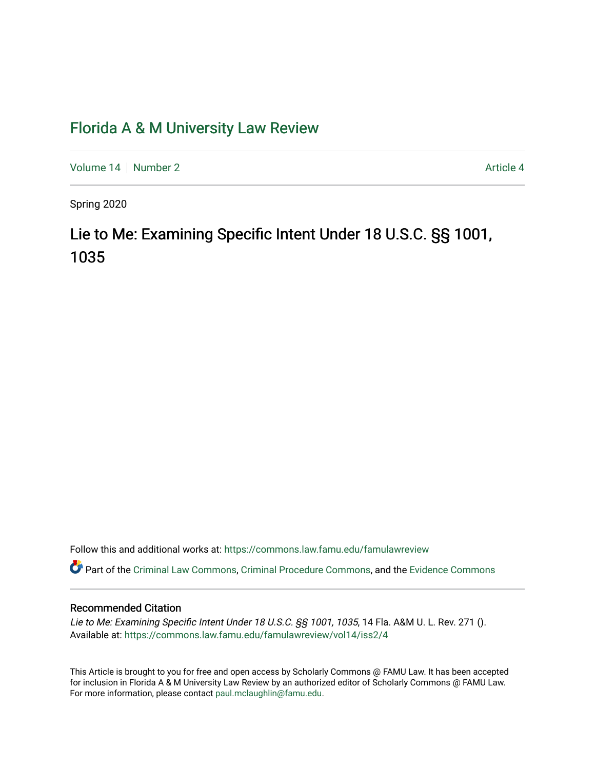## [Florida A & M University Law Review](https://commons.law.famu.edu/famulawreview)

[Volume 14](https://commons.law.famu.edu/famulawreview/vol14) [Number 2](https://commons.law.famu.edu/famulawreview/vol14/iss2) Article 4

Spring 2020

# Lie to Me: Examining Specific Intent Under 18 U.S.C. §§ 1001, 1035

Follow this and additional works at: [https://commons.law.famu.edu/famulawreview](https://commons.law.famu.edu/famulawreview?utm_source=commons.law.famu.edu%2Ffamulawreview%2Fvol14%2Fiss2%2F4&utm_medium=PDF&utm_campaign=PDFCoverPages) 

Part of the [Criminal Law Commons,](http://network.bepress.com/hgg/discipline/912?utm_source=commons.law.famu.edu%2Ffamulawreview%2Fvol14%2Fiss2%2F4&utm_medium=PDF&utm_campaign=PDFCoverPages) [Criminal Procedure Commons,](http://network.bepress.com/hgg/discipline/1073?utm_source=commons.law.famu.edu%2Ffamulawreview%2Fvol14%2Fiss2%2F4&utm_medium=PDF&utm_campaign=PDFCoverPages) and the [Evidence Commons](http://network.bepress.com/hgg/discipline/601?utm_source=commons.law.famu.edu%2Ffamulawreview%2Fvol14%2Fiss2%2F4&utm_medium=PDF&utm_campaign=PDFCoverPages) 

## Recommended Citation

Lie to Me: Examining Specific Intent Under 18 U.S.C. §§ 1001, 1035, 14 Fla. A&M U. L. Rev. 271 (). Available at: [https://commons.law.famu.edu/famulawreview/vol14/iss2/4](https://commons.law.famu.edu/famulawreview/vol14/iss2/4?utm_source=commons.law.famu.edu%2Ffamulawreview%2Fvol14%2Fiss2%2F4&utm_medium=PDF&utm_campaign=PDFCoverPages)

This Article is brought to you for free and open access by Scholarly Commons @ FAMU Law. It has been accepted for inclusion in Florida A & M University Law Review by an authorized editor of Scholarly Commons @ FAMU Law. For more information, please contact [paul.mclaughlin@famu.edu](mailto:paul.mclaughlin@famu.edu).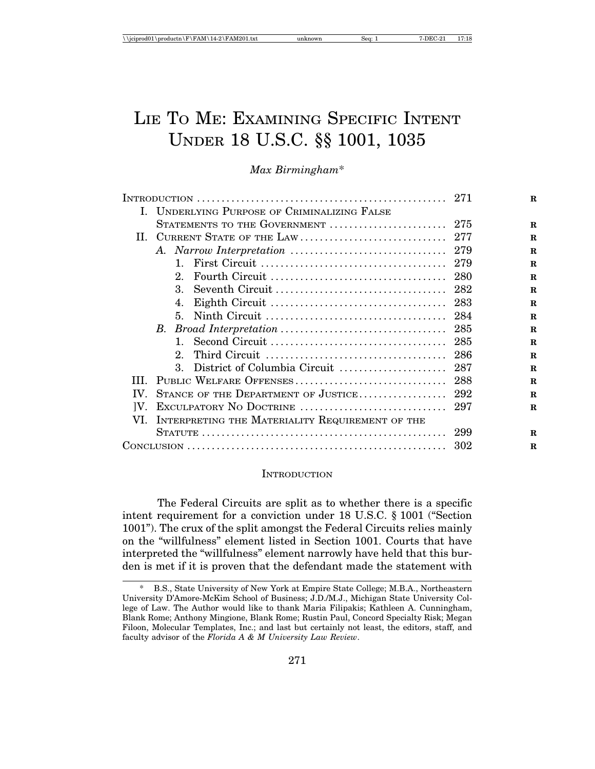# LIE TO ME: EXAMINING SPECIFIC INTENT UNDER 18 U.S.C. §§ 1001, 1035

*Max Birmingham*\*

|               |                                                                                     |      | $\mathbf R$ |
|---------------|-------------------------------------------------------------------------------------|------|-------------|
|               | I. UNDERLYING PURPOSE OF CRIMINALIZING FALSE                                        |      |             |
|               | STATEMENTS TO THE GOVERNMENT $\ldots \ldots \ldots \ldots \ldots \ldots \ldots$ 275 |      | $\mathbf R$ |
| П.            |                                                                                     |      | $\mathbf R$ |
|               |                                                                                     |      | $\mathbf R$ |
|               |                                                                                     |      | $\mathbf R$ |
|               | $2^{\circ}$                                                                         | -280 | $\mathbf R$ |
|               |                                                                                     |      | $\mathbf R$ |
|               | 4.                                                                                  |      | $\mathbf R$ |
|               | 5.                                                                                  | -284 | $\mathbf R$ |
|               |                                                                                     |      | $\mathbf R$ |
|               |                                                                                     |      | $\mathbf R$ |
|               |                                                                                     |      | $\mathbf R$ |
|               | 3.                                                                                  |      | $\mathbf R$ |
| Ш             |                                                                                     |      | $\mathbf R$ |
| IV.           |                                                                                     |      | $\mathbf R$ |
| $ V_{\cdot} $ |                                                                                     |      | $\mathbf R$ |
| VI.           | INTERPRETING THE MATERIALITY REQUIREMENT OF THE                                     |      |             |
|               |                                                                                     | 299  | $\mathbf R$ |
|               |                                                                                     | 302  | R           |
|               |                                                                                     |      |             |

#### **INTRODUCTION**

The Federal Circuits are split as to whether there is a specific intent requirement for a conviction under 18 U.S.C. § 1001 ("Section 1001"). The crux of the split amongst the Federal Circuits relies mainly on the "willfulness" element listed in Section 1001. Courts that have interpreted the "willfulness" element narrowly have held that this burden is met if it is proven that the defendant made the statement with

<sup>\*</sup> B.S., State University of New York at Empire State College; M.B.A., Northeastern University D'Amore-McKim School of Business; J.D./M.J., Michigan State University College of Law. The Author would like to thank Maria Filipakis; Kathleen A. Cunningham, Blank Rome; Anthony Mingione, Blank Rome; Rustin Paul, Concord Specialty Risk; Megan Filoon, Molecular Templates, Inc.; and last but certainly not least, the editors, staff, and faculty advisor of the *Florida A & M University Law Review*.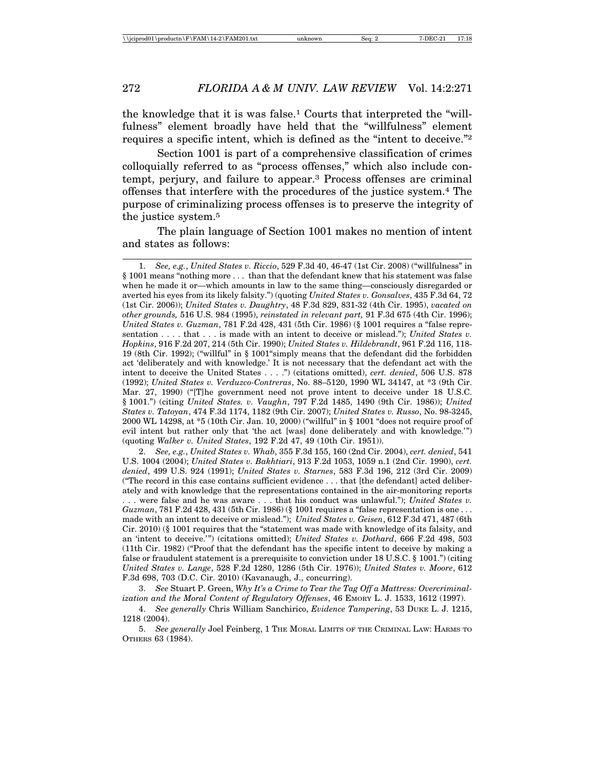the knowledge that it is was false.1 Courts that interpreted the "willfulness" element broadly have held that the "willfulness" element requires a specific intent, which is defined as the "intent to deceive."2

Section 1001 is part of a comprehensive classification of crimes colloquially referred to as "process offenses," which also include contempt, perjury, and failure to appear.3 Process offenses are criminal offenses that interfere with the procedures of the justice system.4 The purpose of criminalizing process offenses is to preserve the integrity of the justice system.5

The plain language of Section 1001 makes no mention of intent and states as follows:

2. *See, e.g.*, *United States v. Whab*, 355 F.3d 155, 160 (2nd Cir. 2004), *cert. denied*, 541 U.S. 1004 (2004); *United States v. Bakhtiari*, 913 F.2d 1053, 1059 n.1 (2nd Cir. 1990), *cert. denied*, 499 U.S. 924 (1991); *United States v. Starnes*, 583 F.3d 196, 212 (3rd Cir. 2009) ("The record in this case contains sufficient evidence . . . that [the defendant] acted deliberately and with knowledge that the representations contained in the air-monitoring reports . . . were false and he was aware . . . that his conduct was unlawful."); *United States v. Guzman*, 781 F.2d 428, 431 (5th Cir. 1986) (§ 1001 requires a "false representation is one ... made with an intent to deceive or mislead."); *United States v. Geisen*, 612 F.3d 471, 487 (6th Cir. 2010) (§ 1001 requires that the "statement was made with knowledge of its falsity, and an 'intent to deceive.'") (citations omitted); *United States v. Dothard*, 666 F.2d 498, 503 (11th Cir. 1982) ("Proof that the defendant has the specific intent to deceive by making a false or fraudulent statement is a prerequisite to conviction under 18 U.S.C. § 1001.") (citing *United States v. Lange*, 528 F.2d 1280, 1286 (5th Cir. 1976)); *United States v. Moore*, 612 F.3d 698, 703 (D.C. Cir. 2010) (Kavanaugh, J., concurring).

3. *See* Stuart P. Green, *Why It's a Crime to Tear the Tag Off a Mattress: Overcriminalization and the Moral Content of Regulatory Offenses*, 46 EMORY L. J. 1533, 1612 (1997).

4. *See generally* Chris William Sanchirico, *Evidence Tampering*, 53 DUKE L. J. 1215, 1218 (2004).

5. *See generally* Joel Feinberg, 1 THE MORAL LIMITS OF THE CRIMINAL LAW: HARMS TO OTHERS 63 (1984).

<sup>1.</sup> *See, e.g.*, *United States v. Riccio*, 529 F.3d 40, 46-47 (1st Cir. 2008) ("willfulness" in § 1001 means "nothing more . . . than that the defendant knew that his statement was false when he made it or—which amounts in law to the same thing—consciously disregarded or averted his eyes from its likely falsity.") (quoting *United States v. Gonsalves*, 435 F.3d 64, 72 (1st Cir. 2006)); *United States v. Daughtry*, 48 F.3d 829, 831-32 (4th Cir. 1995), *vacated on other grounds,* 516 U.S. 984 (1995), *reinstated in relevant part,* 91 F.3d 675 (4th Cir. 1996); *United States v. Guzman*, 781 F.2d 428, 431 (5th Cir. 1986) (§ 1001 requires a "false representation . . . . that . . . is made with an intent to deceive or mislead."); *United States v. Hopkins*, 916 F.2d 207, 214 (5th Cir. 1990); *United States v. Hildebrandt*, 961 F.2d 116, 118- 19 (8th Cir. 1992); ("willful" in § 1001"simply means that the defendant did the forbidden act 'deliberately and with knowledge.' It is not necessary that the defendant act with the intent to deceive the United States . . . .") (citations omitted), *cert. denied*, 506 U.S. 878 (1992); *United States v. Verduzco-Contreras*, No. 88–5120, 1990 WL 34147, at \*3 (9th Cir. Mar. 27, 1990) ("[T]he government need not prove intent to deceive under 18 U.S.C. § 1001.") (citing *United States. v. Vaughn*, 797 F.2d 1485, 1490 (9th Cir. 1986)); *United States v. Tatoyan*, 474 F.3d 1174, 1182 (9th Cir. 2007); *United States v. Russo*, No. 98-3245, 2000 WL 14298, at \*5 (10th Cir. Jan. 10, 2000) ("willful" in § 1001 "does not require proof of evil intent but rather only that 'the act [was] done deliberately and with knowledge.'") (quoting *Walker v. United States*, 192 F.2d 47, 49 (10th Cir. 1951)).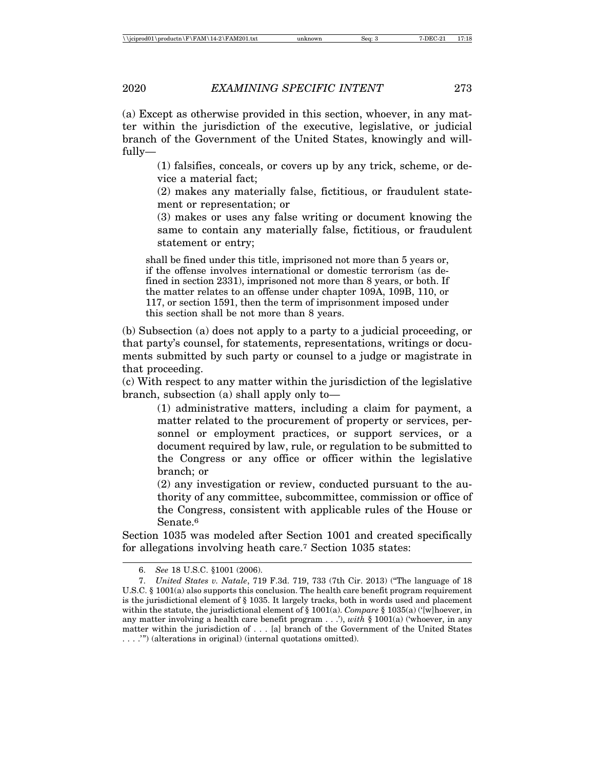(a) Except as otherwise provided in this section, whoever, in any matter within the jurisdiction of the executive, legislative, or judicial branch of the Government of the United States, knowingly and willfully—

> (1) falsifies, conceals, or covers up by any trick, scheme, or device a material fact;

> (2) makes any materially false, fictitious, or fraudulent statement or representation; or

> (3) makes or uses any false writing or document knowing the same to contain any materially false, fictitious, or fraudulent statement or entry;

shall be fined under this title, imprisoned not more than 5 years or, if the offense involves international or domestic terrorism (as defined in section 2331), imprisoned not more than 8 years, or both. If the matter relates to an offense under chapter 109A, 109B, 110, or 117, or section 1591, then the term of imprisonment imposed under this section shall be not more than 8 years.

(b) Subsection (a) does not apply to a party to a judicial proceeding, or that party's counsel, for statements, representations, writings or documents submitted by such party or counsel to a judge or magistrate in that proceeding.

(c) With respect to any matter within the jurisdiction of the legislative branch, subsection (a) shall apply only to—

(1) administrative matters, including a claim for payment, a matter related to the procurement of property or services, personnel or employment practices, or support services, or a document required by law, rule, or regulation to be submitted to the Congress or any office or officer within the legislative branch; or

(2) any investigation or review, conducted pursuant to the authority of any committee, subcommittee, commission or office of the Congress, consistent with applicable rules of the House or Senate.6

Section 1035 was modeled after Section 1001 and created specifically for allegations involving heath care.7 Section 1035 states:

<sup>6.</sup> *See* 18 U.S.C. §1001 (2006).

<sup>7.</sup> *United States v. Natale*, 719 F.3d. 719, 733 (7th Cir. 2013) ("The language of 18 U.S.C. § 1001(a) also supports this conclusion. The health care benefit program requirement is the jurisdictional element of § 1035. It largely tracks, both in words used and placement within the statute, the jurisdictional element of § 1001(a). *Compare* § 1035(a) ('[w]hoever, in any matter involving a health care benefit program . . .'), *with* § 1001(a) ('whoever, in any matter within the jurisdiction of . . . [a] branch of the Government of the United States . . . .'") (alterations in original) (internal quotations omitted).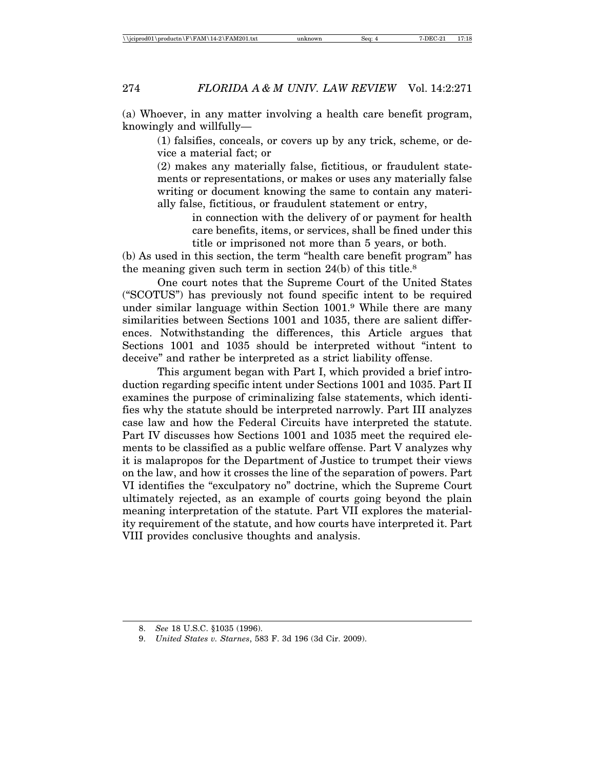(a) Whoever, in any matter involving a health care benefit program, knowingly and willfully—

> (1) falsifies, conceals, or covers up by any trick, scheme, or device a material fact; or

> (2) makes any materially false, fictitious, or fraudulent statements or representations, or makes or uses any materially false writing or document knowing the same to contain any materially false, fictitious, or fraudulent statement or entry,

> > in connection with the delivery of or payment for health care benefits, items, or services, shall be fined under this title or imprisoned not more than 5 years, or both.

(b) As used in this section, the term "health care benefit program" has the meaning given such term in section 24(b) of this title.8

One court notes that the Supreme Court of the United States ("SCOTUS") has previously not found specific intent to be required under similar language within Section 1001.9 While there are many similarities between Sections 1001 and 1035, there are salient differences. Notwithstanding the differences, this Article argues that Sections 1001 and 1035 should be interpreted without "intent to deceive" and rather be interpreted as a strict liability offense.

This argument began with Part I, which provided a brief introduction regarding specific intent under Sections 1001 and 1035. Part II examines the purpose of criminalizing false statements, which identifies why the statute should be interpreted narrowly. Part III analyzes case law and how the Federal Circuits have interpreted the statute. Part IV discusses how Sections 1001 and 1035 meet the required elements to be classified as a public welfare offense. Part V analyzes why it is malapropos for the Department of Justice to trumpet their views on the law, and how it crosses the line of the separation of powers. Part VI identifies the "exculpatory no" doctrine, which the Supreme Court ultimately rejected, as an example of courts going beyond the plain meaning interpretation of the statute. Part VII explores the materiality requirement of the statute, and how courts have interpreted it. Part VIII provides conclusive thoughts and analysis.

<sup>8.</sup> *See* 18 U.S.C. §1035 (1996).

<sup>9.</sup> *United States v. Starnes*, 583 F. 3d 196 (3d Cir. 2009).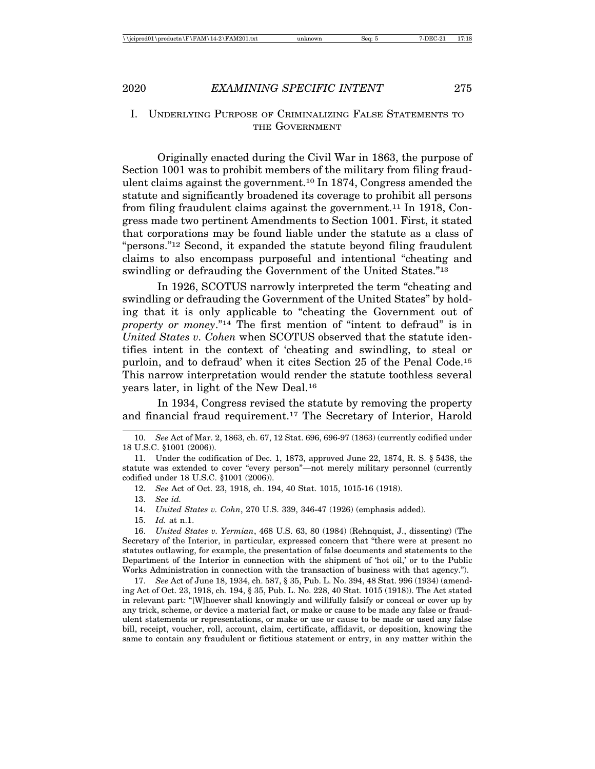## I. UNDERLYING PURPOSE OF CRIMINALIZING FALSE STATEMENTS TO THE GOVERNMENT

Originally enacted during the Civil War in 1863, the purpose of Section 1001 was to prohibit members of the military from filing fraudulent claims against the government.10 In 1874, Congress amended the statute and significantly broadened its coverage to prohibit all persons from filing fraudulent claims against the government.11 In 1918, Congress made two pertinent Amendments to Section 1001. First, it stated that corporations may be found liable under the statute as a class of "persons."12 Second, it expanded the statute beyond filing fraudulent claims to also encompass purposeful and intentional "cheating and swindling or defrauding the Government of the United States."<sup>13</sup>

In 1926, SCOTUS narrowly interpreted the term "cheating and swindling or defrauding the Government of the United States" by holding that it is only applicable to "cheating the Government out of *property or money*."14 The first mention of "intent to defraud" is in *United States v. Cohen* when SCOTUS observed that the statute identifies intent in the context of 'cheating and swindling, to steal or purloin, and to defraud' when it cites Section 25 of the Penal Code.15 This narrow interpretation would render the statute toothless several years later, in light of the New Deal.16

In 1934, Congress revised the statute by removing the property and financial fraud requirement.17 The Secretary of Interior, Harold

15. *Id.* at n.1.

16. *United States v. Yermian*, 468 U.S. 63, 80 (1984) (Rehnquist, J., dissenting) (The Secretary of the Interior, in particular, expressed concern that "there were at present no statutes outlawing, for example, the presentation of false documents and statements to the Department of the Interior in connection with the shipment of 'hot oil,' or to the Public Works Administration in connection with the transaction of business with that agency.").

17. *See* Act of June 18, 1934, ch. 587, § 35, Pub. L. No. 394, 48 Stat. 996 (1934) (amending Act of Oct. 23, 1918, ch. 194, § 35, Pub. L. No. 228, 40 Stat. 1015 (1918)). The Act stated in relevant part: "[W]hoever shall knowingly and willfully falsify or conceal or cover up by any trick, scheme, or device a material fact, or make or cause to be made any false or fraudulent statements or representations, or make or use or cause to be made or used any false bill, receipt, voucher, roll, account, claim, certificate, affidavit, or deposition, knowing the same to contain any fraudulent or fictitious statement or entry, in any matter within the

<sup>10.</sup> *See* Act of Mar. 2, 1863, ch. 67, 12 Stat. 696, 696-97 (1863) (currently codified under 18 U.S.C. §1001 (2006)).

<sup>11.</sup> Under the codification of Dec. 1, 1873, approved June 22, 1874, R. S. § 5438, the statute was extended to cover "every person"—not merely military personnel (currently codified under 18 U.S.C. §1001 (2006)).

<sup>12.</sup> *See* Act of Oct. 23, 1918, ch. 194, 40 Stat. 1015, 1015-16 (1918).

<sup>13.</sup> *See id.*

<sup>14.</sup> *United States v. Cohn*, 270 U.S. 339, 346-47 (1926) (emphasis added).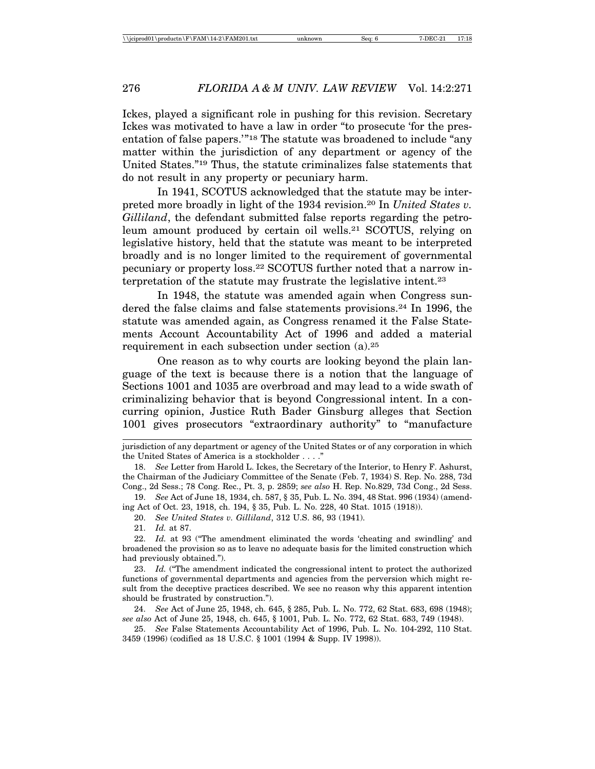Ickes, played a significant role in pushing for this revision. Secretary Ickes was motivated to have a law in order "to prosecute 'for the presentation of false papers.'"18 The statute was broadened to include "any matter within the jurisdiction of any department or agency of the United States."19 Thus, the statute criminalizes false statements that do not result in any property or pecuniary harm.

In 1941, SCOTUS acknowledged that the statute may be interpreted more broadly in light of the 1934 revision.20 In *United States v. Gilliland*, the defendant submitted false reports regarding the petroleum amount produced by certain oil wells.21 SCOTUS, relying on legislative history, held that the statute was meant to be interpreted broadly and is no longer limited to the requirement of governmental pecuniary or property loss.22 SCOTUS further noted that a narrow interpretation of the statute may frustrate the legislative intent.23

In 1948, the statute was amended again when Congress sundered the false claims and false statements provisions.<sup>24</sup> In 1996, the statute was amended again, as Congress renamed it the False Statements Account Accountability Act of 1996 and added a material requirement in each subsection under section (a).25

One reason as to why courts are looking beyond the plain language of the text is because there is a notion that the language of Sections 1001 and 1035 are overbroad and may lead to a wide swath of criminalizing behavior that is beyond Congressional intent. In a concurring opinion, Justice Ruth Bader Ginsburg alleges that Section 1001 gives prosecutors "extraordinary authority" to "manufacture

19. *See* Act of June 18, 1934, ch. 587, § 35, Pub. L. No. 394, 48 Stat. 996 (1934) (amending Act of Oct. 23, 1918, ch. 194, § 35, Pub. L. No. 228, 40 Stat. 1015 (1918)).

20. *See United States v. Gilliland*, 312 U.S. 86, 93 (1941).

21. *Id.* at 87.

22. *Id.* at 93 ("The amendment eliminated the words 'cheating and swindling' and broadened the provision so as to leave no adequate basis for the limited construction which had previously obtained.").

23. *Id.* ("The amendment indicated the congressional intent to protect the authorized functions of governmental departments and agencies from the perversion which might result from the deceptive practices described. We see no reason why this apparent intention should be frustrated by construction.").

24. *See* Act of June 25, 1948, ch. 645, § 285, Pub. L. No. 772, 62 Stat. 683, 698 (1948); *see also* Act of June 25, 1948, ch. 645, § 1001, Pub. L. No. 772, 62 Stat. 683, 749 (1948).

25. *See* False Statements Accountability Act of 1996, Pub. L. No. 104-292, 110 Stat. 3459 (1996) (codified as 18 U.S.C. § 1001 (1994 & Supp. IV 1998)).

jurisdiction of any department or agency of the United States or of any corporation in which the United States of America is a stockholder . . . ."

<sup>18.</sup> *See* Letter from Harold L. Ickes, the Secretary of the Interior, to Henry F. Ashurst, the Chairman of the Judiciary Committee of the Senate (Feb. 7, 1934) S. Rep. No. 288, 73d Cong., 2d Sess.; 78 Cong. Rec., Pt. 3, p. 2859; *see also* H. Rep. No.829, 73d Cong., 2d Sess.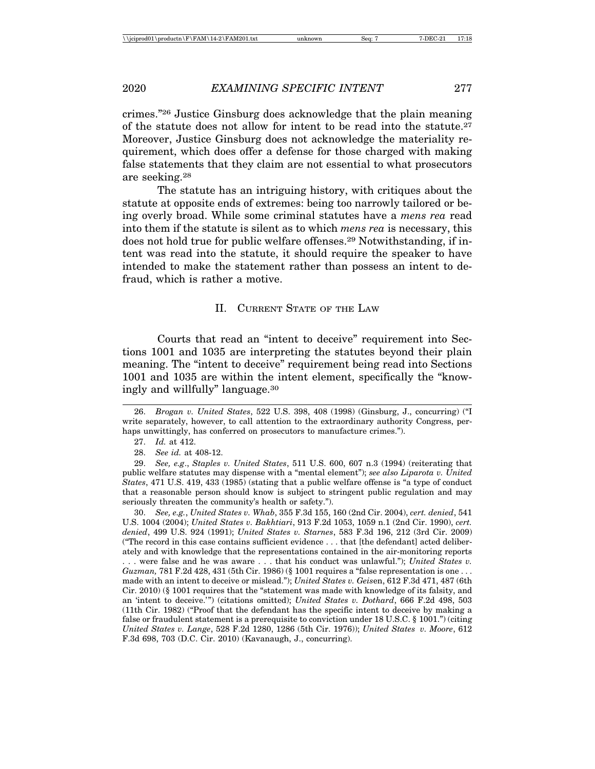crimes."26 Justice Ginsburg does acknowledge that the plain meaning of the statute does not allow for intent to be read into the statute.27 Moreover, Justice Ginsburg does not acknowledge the materiality requirement, which does offer a defense for those charged with making false statements that they claim are not essential to what prosecutors are seeking.28

The statute has an intriguing history, with critiques about the statute at opposite ends of extremes: being too narrowly tailored or being overly broad. While some criminal statutes have a *mens rea* read into them if the statute is silent as to which *mens rea* is necessary, this does not hold true for public welfare offenses.29 Notwithstanding, if intent was read into the statute, it should require the speaker to have intended to make the statement rather than possess an intent to defraud, which is rather a motive.

#### II. CURRENT STATE OF THE LAW

Courts that read an "intent to deceive" requirement into Sections 1001 and 1035 are interpreting the statutes beyond their plain meaning. The "intent to deceive" requirement being read into Sections 1001 and 1035 are within the intent element, specifically the "knowingly and willfully" language.30

30. *See, e.g.*, *United States v. Whab*, 355 F.3d 155, 160 (2nd Cir. 2004), *cert. denied*, 541 U.S. 1004 (2004); *United States v. Bakhtiari*, 913 F.2d 1053, 1059 n.1 (2nd Cir. 1990), *cert. denied*, 499 U.S. 924 (1991); *United States v. Starnes*, 583 F.3d 196, 212 (3rd Cir. 2009) ("The record in this case contains sufficient evidence . . . that [the defendant] acted deliberately and with knowledge that the representations contained in the air-monitoring reports . . . were false and he was aware . . . that his conduct was unlawful."); *United States v. Guzman,* 781 F.2d 428, 431 (5th Cir. 1986) (§ 1001 requires a "false representation is one ... made with an intent to deceive or mislead."); *United States v. Geis*en, 612 F.3d 471, 487 (6th Cir. 2010) (§ 1001 requires that the "statement was made with knowledge of its falsity, and an 'intent to deceive.'") (citations omitted); *United States v. Dothard*, 666 F.2d 498, 503 (11th Cir. 1982) ("Proof that the defendant has the specific intent to deceive by making a false or fraudulent statement is a prerequisite to conviction under 18 U.S.C. § 1001.") (citing *United States v. Lange*, 528 F.2d 1280, 1286 (5th Cir. 1976)); *United States v. Moore*, 612 F.3d 698, 703 (D.C. Cir. 2010) (Kavanaugh, J., concurring).

<sup>26.</sup> *Brogan v. United States*, 522 U.S. 398, 408 (1998) (Ginsburg, J., concurring) ("I write separately, however, to call attention to the extraordinary authority Congress, perhaps unwittingly, has conferred on prosecutors to manufacture crimes.").

<sup>27.</sup> *Id.* at 412.

<sup>28.</sup> *See id.* at 408-12.

<sup>29.</sup> *See, e.g*., *Staples v. United States*, 511 U.S. 600, 607 n.3 (1994) (reiterating that public welfare statutes may dispense with a "mental element"); *see also Liparota v. United States*, 471 U.S. 419, 433 (1985) (stating that a public welfare offense is "a type of conduct that a reasonable person should know is subject to stringent public regulation and may seriously threaten the community's health or safety.").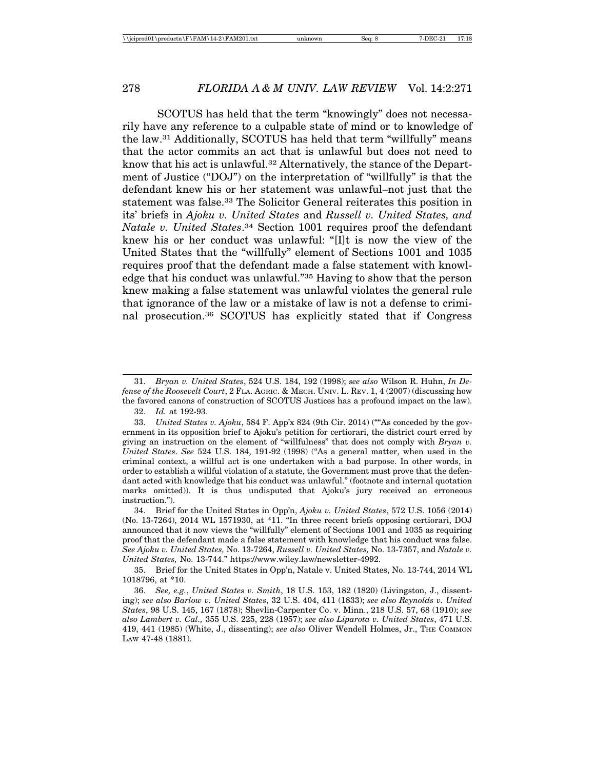SCOTUS has held that the term "knowingly" does not necessarily have any reference to a culpable state of mind or to knowledge of the law.31 Additionally, SCOTUS has held that term "willfully" means that the actor commits an act that is unlawful but does not need to know that his act is unlawful.<sup>32</sup> Alternatively, the stance of the Department of Justice ("DOJ") on the interpretation of "willfully" is that the defendant knew his or her statement was unlawful–not just that the statement was false.33 The Solicitor General reiterates this position in its' briefs in *Ajoku v. United States* and *Russell v. United States, and Natale v. United States*.34 Section 1001 requires proof the defendant knew his or her conduct was unlawful: "[I]t is now the view of the United States that the "willfully" element of Sections 1001 and 1035 requires proof that the defendant made a false statement with knowledge that his conduct was unlawful."35 Having to show that the person knew making a false statement was unlawful violates the general rule that ignorance of the law or a mistake of law is not a defense to criminal prosecution.36 SCOTUS has explicitly stated that if Congress

35. Brief for the United States in Opp'n, Natale v. United States, No. 13-744, 2014 WL 1018796, at \*10.

<sup>31.</sup> *Bryan v. United States*, 524 U.S. 184, 192 (1998); *see also* Wilson R. Huhn, *In Defense of the Roosevelt Court*, 2 FLA. AGRIC. & MECH. UNIV. L. REV. 1, 4 (2007) (discussing how the favored canons of construction of SCOTUS Justices has a profound impact on the law). 32. *Id.* at 192-93.

<sup>33.</sup> *United States v. Ajoku*, 584 F. App'x 824 (9th Cir. 2014) (""As conceded by the government in its opposition brief to Ajoku's petition for certiorari, the district court erred by giving an instruction on the element of "willfulness" that does not comply with *Bryan v. United States*. *See* 524 U.S. 184, 191-92 (1998) ("As a general matter, when used in the criminal context, a willful act is one undertaken with a bad purpose. In other words, in order to establish a willful violation of a statute, the Government must prove that the defendant acted with knowledge that his conduct was unlawful." (footnote and internal quotation marks omitted)). It is thus undisputed that Ajoku's jury received an erroneous instruction.").

<sup>34.</sup> Brief for the United States in Opp'n, *Ajoku v. United States*, 572 U.S. 1056 (2014) (No. 13-7264), 2014 WL 1571930, at \*11. "In three recent briefs opposing certiorari, DOJ announced that it now views the "willfully" element of Sections 1001 and 1035 as requiring proof that the defendant made a false statement with knowledge that his conduct was false. *See Ajoku v. United States,* No. 13-7264, *Russell v. United States,* No. 13-7357, and *Natale v. United States,* No. 13-744." https://www.wiley.law/newsletter-4992.

<sup>36.</sup> *See, e.g.*, *United States v. Smith*, 18 U.S. 153, 182 (1820) (Livingston, J., dissenting); *see also Barlow v. United States*, 32 U.S. 404, 411 (1833); *see also Reynolds v. United States*, 98 U.S. 145, 167 (1878); Shevlin-Carpenter Co. v. Minn., 218 U.S. 57, 68 (1910); *see also Lambert v. Cal.,* 355 U.S. 225, 228 (1957); *see also Liparota v. United States*, 471 U.S. 419, 441 (1985) (White, J., dissenting); *see also* Oliver Wendell Holmes, Jr., THE COMMON LAW 47-48 (1881).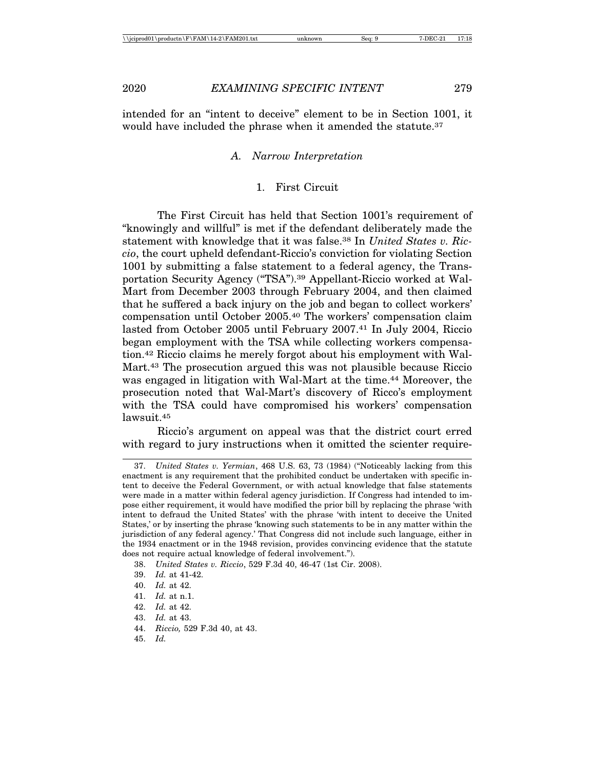intended for an "intent to deceive" element to be in Section 1001, it would have included the phrase when it amended the statute.<sup>37</sup>

## *A. Narrow Interpretation*

## 1. First Circuit

The First Circuit has held that Section 1001's requirement of "knowingly and willful" is met if the defendant deliberately made the statement with knowledge that it was false.38 In *United States v. Riccio*, the court upheld defendant-Riccio's conviction for violating Section 1001 by submitting a false statement to a federal agency, the Transportation Security Agency ("TSA").39 Appellant-Riccio worked at Wal-Mart from December 2003 through February 2004, and then claimed that he suffered a back injury on the job and began to collect workers' compensation until October 2005.40 The workers' compensation claim lasted from October 2005 until February 2007.41 In July 2004, Riccio began employment with the TSA while collecting workers compensation.42 Riccio claims he merely forgot about his employment with Wal-Mart.43 The prosecution argued this was not plausible because Riccio was engaged in litigation with Wal-Mart at the time.<sup>44</sup> Moreover, the prosecution noted that Wal-Mart's discovery of Ricco's employment with the TSA could have compromised his workers' compensation lawsuit.45

Riccio's argument on appeal was that the district court erred with regard to jury instructions when it omitted the scienter require-

- 44. *Riccio,* 529 F.3d 40, at 43.
- 45. *Id.*

<sup>37.</sup> *United States v. Yermian*, 468 U.S. 63, 73 (1984) ("Noticeably lacking from this enactment is any requirement that the prohibited conduct be undertaken with specific intent to deceive the Federal Government, or with actual knowledge that false statements were made in a matter within federal agency jurisdiction. If Congress had intended to impose either requirement, it would have modified the prior bill by replacing the phrase 'with intent to defraud the United States' with the phrase 'with intent to deceive the United States,' or by inserting the phrase 'knowing such statements to be in any matter within the jurisdiction of any federal agency.' That Congress did not include such language, either in the 1934 enactment or in the 1948 revision, provides convincing evidence that the statute does not require actual knowledge of federal involvement.").

<sup>38.</sup> *United States v. Riccio*, 529 F.3d 40, 46-47 (1st Cir. 2008).

<sup>39.</sup> *Id.* at 41-42.

<sup>40.</sup> *Id.* at 42.

<sup>41.</sup> *Id.* at n.1.

<sup>42.</sup> *Id.* at 42.

<sup>43.</sup> *Id.* at 43.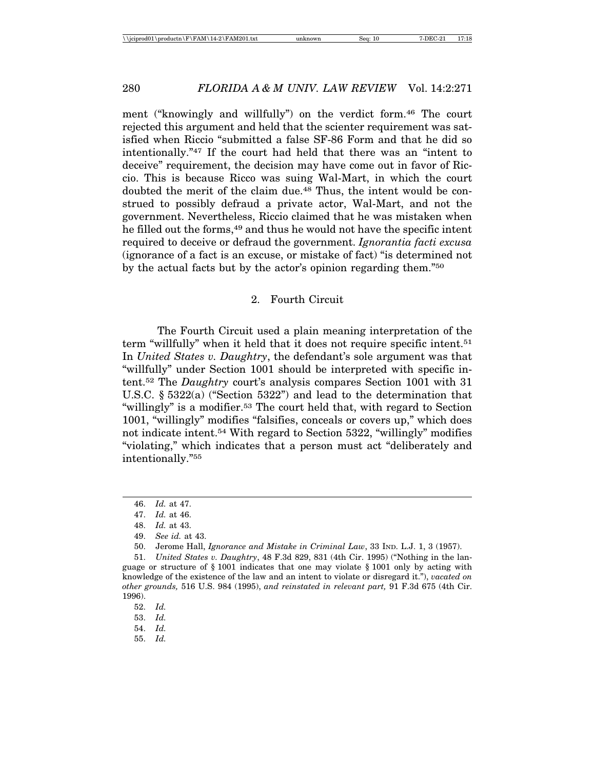ment ("knowingly and willfully") on the verdict form.<sup>46</sup> The court rejected this argument and held that the scienter requirement was satisfied when Riccio "submitted a false SF-86 Form and that he did so intentionally."47 If the court had held that there was an "intent to deceive" requirement, the decision may have come out in favor of Riccio. This is because Ricco was suing Wal-Mart, in which the court doubted the merit of the claim due.48 Thus, the intent would be construed to possibly defraud a private actor, Wal-Mart, and not the government. Nevertheless, Riccio claimed that he was mistaken when he filled out the forms,<sup>49</sup> and thus he would not have the specific intent required to deceive or defraud the government. *Ignorantia facti excusa* (ignorance of a fact is an excuse, or mistake of fact) "is determined not by the actual facts but by the actor's opinion regarding them."50

## 2. Fourth Circuit

The Fourth Circuit used a plain meaning interpretation of the term "willfully" when it held that it does not require specific intent.51 In *United States v. Daughtry*, the defendant's sole argument was that "willfully" under Section 1001 should be interpreted with specific intent.52 The *Daughtry* court's analysis compares Section 1001 with 31 U.S.C. § 5322(a) ("Section 5322") and lead to the determination that "willingly" is a modifier.53 The court held that, with regard to Section 1001, "willingly" modifies "falsifies, conceals or covers up," which does not indicate intent.54 With regard to Section 5322, "willingly" modifies "violating," which indicates that a person must act "deliberately and intentionally."55

<sup>46.</sup> *Id.* at 47.

<sup>47.</sup> *Id.* at 46.

<sup>48.</sup> *Id.* at 43.

<sup>49.</sup> *See id.* at 43.

<sup>50.</sup> Jerome Hall, *Ignorance and Mistake in Criminal Law*, 33 IND. L.J. 1, 3 (1957).

<sup>51.</sup> *United States v. Daughtry*, 48 F.3d 829, 831 (4th Cir. 1995) ("Nothing in the language or structure of § 1001 indicates that one may violate § 1001 only by acting with knowledge of the existence of the law and an intent to violate or disregard it."), *vacated on other grounds,* 516 U.S. 984 (1995), *and reinstated in relevant part,* 91 F.3d 675 (4th Cir. 1996).

<sup>52.</sup> *Id.*

<sup>53.</sup> *Id.*

<sup>54.</sup> *Id.*

<sup>55.</sup> *Id.*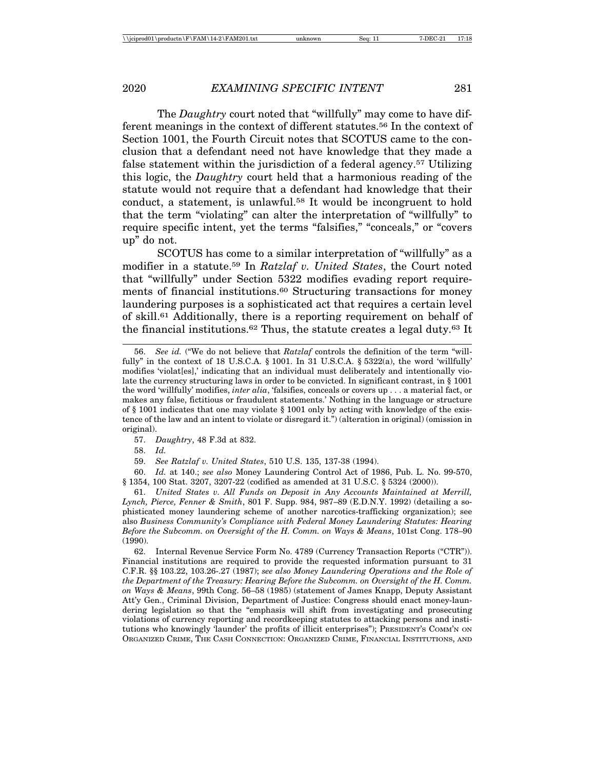The *Daughtry* court noted that "willfully" may come to have different meanings in the context of different statutes.56 In the context of Section 1001, the Fourth Circuit notes that SCOTUS came to the conclusion that a defendant need not have knowledge that they made a false statement within the jurisdiction of a federal agency.57 Utilizing this logic, the *Daughtry* court held that a harmonious reading of the statute would not require that a defendant had knowledge that their conduct, a statement, is unlawful.58 It would be incongruent to hold that the term "violating" can alter the interpretation of "willfully" to require specific intent, yet the terms "falsifies," "conceals," or "covers up" do not.

SCOTUS has come to a similar interpretation of "willfully" as a modifier in a statute.59 In *Ratzlaf v. United States*, the Court noted that "willfully" under Section 5322 modifies evading report requirements of financial institutions.<sup>60</sup> Structuring transactions for money laundering purposes is a sophisticated act that requires a certain level of skill.61 Additionally, there is a reporting requirement on behalf of the financial institutions.<sup>62</sup> Thus, the statute creates a legal duty.<sup>63</sup> It

57. *Daughtry*, 48 F.3d at 832.

58. *Id.*

59. *See Ratzlaf v. United States*, 510 U.S. 135, 137-38 (1994).

60. *Id.* at 140.; *see also* Money Laundering Control Act of 1986, Pub. L. No. 99-570, § 1354, 100 Stat. 3207, 3207-22 (codified as amended at 31 U.S.C. § 5324 (2000)).

61. *United States v. All Funds on Deposit in Any Accounts Maintained at Merrill, Lynch, Pierce, Fenner & Smith*, 801 F. Supp. 984, 987–89 (E.D.N.Y. 1992) (detailing a sophisticated money laundering scheme of another narcotics-trafficking organization); see also *Business Community's Compliance with Federal Money Laundering Statutes: Hearing Before the Subcomm. on Oversight of the H. Comm. on Ways & Means*, 101st Cong. 178–90 (1990).

62. Internal Revenue Service Form No. 4789 (Currency Transaction Reports ("CTR")). Financial institutions are required to provide the requested information pursuant to 31 C.F.R. §§ 103.22, 103.26-.27 (1987); *see also Money Laundering Operations and the Role of the Department of the Treasury: Hearing Before the Subcomm. on Oversight of the H. Comm. on Ways & Means*, 99th Cong. 56–58 (1985) (statement of James Knapp, Deputy Assistant Att'y Gen., Criminal Division, Department of Justice: Congress should enact money-laundering legislation so that the "emphasis will shift from investigating and prosecuting violations of currency reporting and recordkeeping statutes to attacking persons and institutions who knowingly 'launder' the profits of illicit enterprises"); PRESIDENT'S COMM'N ON ORGANIZED CRIME, THE CASH CONNECTION: ORGANIZED CRIME, FINANCIAL INSTITUTIONS, AND

<sup>56.</sup> *See id.* ("We do not believe that *Ratzlaf* controls the definition of the term "willfully" in the context of 18 U.S.C.A.  $\S$  1001. In 31 U.S.C.A.  $\S$  5322(a), the word 'willfully' modifies 'violat[es],' indicating that an individual must deliberately and intentionally violate the currency structuring laws in order to be convicted. In significant contrast, in § 1001 the word 'willfully' modifies, *inter alia*, 'falsifies, conceals or covers up . . . a material fact, or makes any false, fictitious or fraudulent statements.' Nothing in the language or structure of § 1001 indicates that one may violate § 1001 only by acting with knowledge of the existence of the law and an intent to violate or disregard it.") (alteration in original) (omission in original).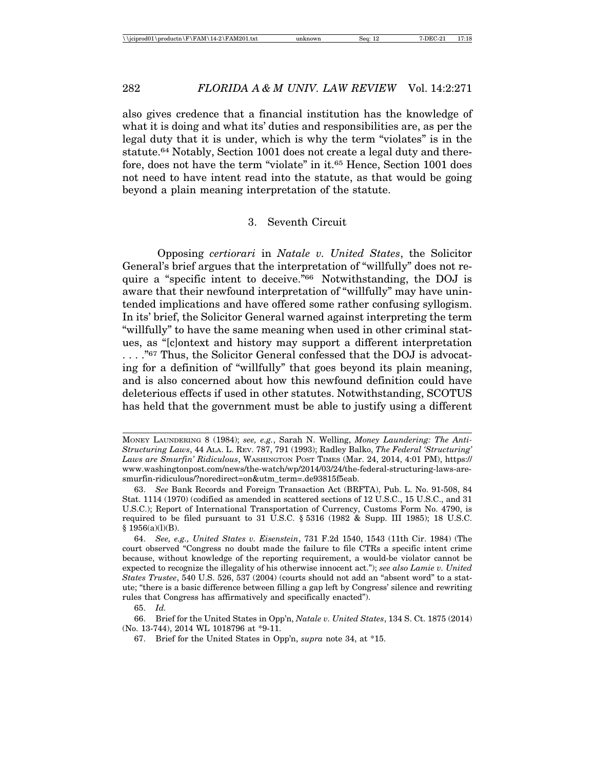also gives credence that a financial institution has the knowledge of what it is doing and what its' duties and responsibilities are, as per the legal duty that it is under, which is why the term "violates" is in the statute.64 Notably, Section 1001 does not create a legal duty and therefore, does not have the term "violate" in it.65 Hence, Section 1001 does not need to have intent read into the statute, as that would be going beyond a plain meaning interpretation of the statute.

#### 3. Seventh Circuit

Opposing *certiorari* in *Natale v. United States*, the Solicitor General's brief argues that the interpretation of "willfully" does not require a "specific intent to deceive."66 Notwithstanding, the DOJ is aware that their newfound interpretation of "willfully" may have unintended implications and have offered some rather confusing syllogism. In its' brief, the Solicitor General warned against interpreting the term "willfully" to have the same meaning when used in other criminal statues, as "[c]ontext and history may support a different interpretation ...."<sup>67</sup> Thus, the Solicitor General confessed that the DOJ is advocating for a definition of "willfully" that goes beyond its plain meaning, and is also concerned about how this newfound definition could have deleterious effects if used in other statutes. Notwithstanding, SCOTUS has held that the government must be able to justify using a different

65. *Id.*

66. Brief for the United States in Opp'n, *Natale v. United States*, 134 S. Ct. 1875 (2014) (No. 13-744), 2014 WL 1018796 at \*9-11.

MONEY LAUNDERING 8 (1984); *see, e.g.*, Sarah N. Welling, *Money Laundering: The Anti-Structuring Laws*, 44 ALA. L. REV. 787, 791 (1993); Radley Balko, *The Federal 'Structuring' Laws are Smurfin' Ridiculous*, WASHINGTON POST TIMES (Mar. 24, 2014, 4:01 PM), https:// www.washingtonpost.com/news/the-watch/wp/2014/03/24/the-federal-structuring-laws-aresmurfin-ridiculous/?noredirect=on&utm\_term=.de93815f5eab.

<sup>63.</sup> *See* Bank Records and Foreign Transaction Act (BRFTA), Pub. L. No. 91-508, 84 Stat. 1114 (1970) (codified as amended in scattered sections of 12 U.S.C., 15 U.S.C., and 31 U.S.C.); Report of International Transportation of Currency, Customs Form No. 4790, is required to be filed pursuant to 31 U.S.C. § 5316 (1982 & Supp. III 1985); 18 U.S.C. § 1956(a)(l)(B).

<sup>64.</sup> *See, e.g., United States v. Eisenstein*, 731 F.2d 1540, 1543 (11th Cir. 1984) (The court observed "Congress no doubt made the failure to file CTRs a specific intent crime because, without knowledge of the reporting requirement, a would-be violator cannot be expected to recognize the illegality of his otherwise innocent act."); *see also Lamie v. United States Trustee*, 540 U.S. 526, 537 (2004) (courts should not add an "absent word" to a statute; "there is a basic difference between filling a gap left by Congress' silence and rewriting rules that Congress has affirmatively and specifically enacted").

<sup>67.</sup> Brief for the United States in Opp'n, *supra* note 34, at \*15.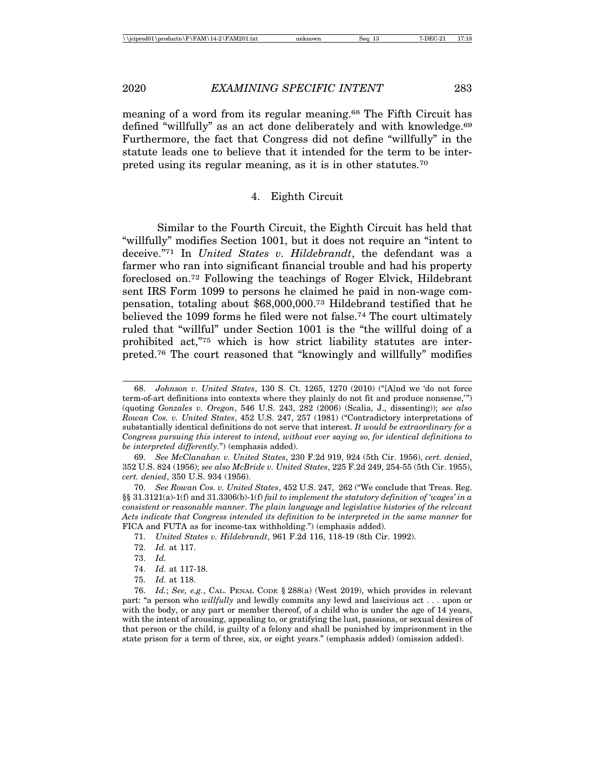meaning of a word from its regular meaning.68 The Fifth Circuit has defined "willfully" as an act done deliberately and with knowledge.<sup>69</sup> Furthermore, the fact that Congress did not define "willfully" in the statute leads one to believe that it intended for the term to be interpreted using its regular meaning, as it is in other statutes.70

## 4. Eighth Circuit

Similar to the Fourth Circuit, the Eighth Circuit has held that "willfully" modifies Section 1001, but it does not require an "intent to deceive."71 In *United States v. Hildebrandt*, the defendant was a farmer who ran into significant financial trouble and had his property foreclosed on.72 Following the teachings of Roger Elvick, Hildebrant sent IRS Form 1099 to persons he claimed he paid in non-wage compensation, totaling about \$68,000,000.73 Hildebrand testified that he believed the 1099 forms he filed were not false.74 The court ultimately ruled that "willful" under Section 1001 is the "the willful doing of a prohibited act,"75 which is how strict liability statutes are interpreted.76 The court reasoned that "knowingly and willfully" modifies

71. *United States v. Hildebrandt*, 961 F.2d 116, 118-19 (8th Cir. 1992).

<sup>68.</sup> *Johnson v. United States*, 130 S. Ct. 1265, 1270 (2010) ("[A]nd we 'do not force term-of-art definitions into contexts where they plainly do not fit and produce nonsense,'") (quoting *Gonzales v. Oregon*, 546 U.S. 243, 282 (2006) (Scalia, J., dissenting)); *see also Rowan Cos. v. United States*, 452 U.S. 247, 257 (1981) ("Contradictory interpretations of substantially identical definitions do not serve that interest. *It would be extraordinary for a Congress pursuing this interest to intend, without ever saying so, for identical definitions to be interpreted differently.*") (emphasis added).

<sup>69.</sup> *See McClanahan v. United States*, 230 F.2d 919, 924 (5th Cir. 1956), *cert. denied*, 352 U.S. 824 (1956); *see also McBride v. United States*, 225 F.2d 249, 254-55 (5th Cir. 1955), *cert. denied*, 350 U.S. 934 (1956).

<sup>70.</sup> *See Rowan Cos. v. United States*, 452 U.S. 247, 262 ("We conclude that Treas. Reg. §§ 31.3121(a)-1(f) and 31.3306(b)-1(f) *fail to implement the statutory definition of 'wages' in a consistent or reasonable manner*. *The plain language and legislative histories of the relevant Acts indicate that Congress intended its definition to be interpreted in the same manner* for FICA and FUTA as for income-tax withholding.") (emphasis added).

<sup>72.</sup> *Id.* at 117.

<sup>73.</sup> *Id.*

<sup>74.</sup> *Id.* at 117-18.

<sup>75.</sup> *Id.* at 118.

<sup>76.</sup> *Id.*; *See, e.g.*, CAL. PENAL CODE § 288(a) (West 2019), which provides in relevant part: "a person who *willfully* and lewdly commits any lewd and lascivious act . . . upon or with the body, or any part or member thereof, of a child who is under the age of 14 years, with the intent of arousing, appealing to, or gratifying the lust, passions, or sexual desires of that person or the child, is guilty of a felony and shall be punished by imprisonment in the state prison for a term of three, six, or eight years." (emphasis added) (omission added).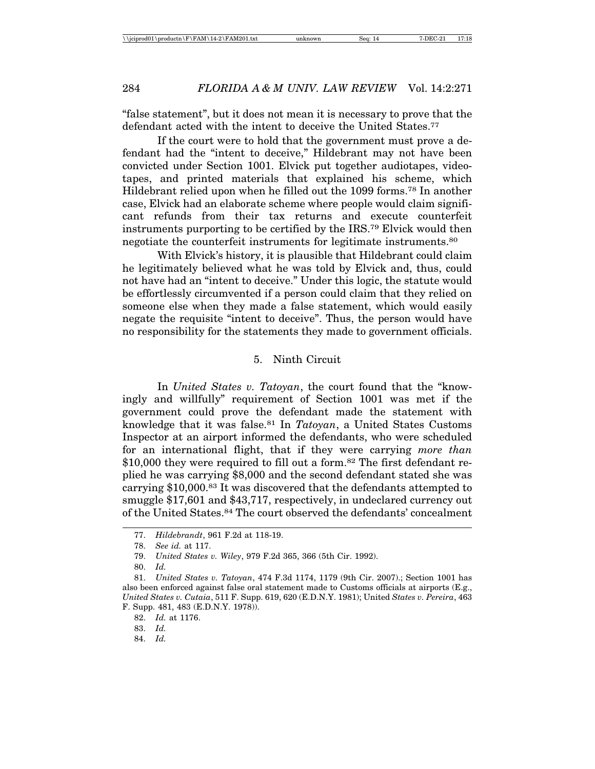"false statement", but it does not mean it is necessary to prove that the defendant acted with the intent to deceive the United States.<sup>77</sup>

If the court were to hold that the government must prove a defendant had the "intent to deceive," Hildebrant may not have been convicted under Section 1001. Elvick put together audiotapes, videotapes, and printed materials that explained his scheme, which Hildebrant relied upon when he filled out the 1099 forms.78 In another case, Elvick had an elaborate scheme where people would claim significant refunds from their tax returns and execute counterfeit instruments purporting to be certified by the IRS.79 Elvick would then negotiate the counterfeit instruments for legitimate instruments.80

With Elvick's history, it is plausible that Hildebrant could claim he legitimately believed what he was told by Elvick and, thus, could not have had an "intent to deceive." Under this logic, the statute would be effortlessly circumvented if a person could claim that they relied on someone else when they made a false statement, which would easily negate the requisite "intent to deceive". Thus, the person would have no responsibility for the statements they made to government officials.

## 5. Ninth Circuit

In *United States v. Tatoyan*, the court found that the "knowingly and willfully" requirement of Section 1001 was met if the government could prove the defendant made the statement with knowledge that it was false.81 In *Tatoyan*, a United States Customs Inspector at an airport informed the defendants, who were scheduled for an international flight, that if they were carrying *more than* \$10,000 they were required to fill out a form.<sup>82</sup> The first defendant replied he was carrying \$8,000 and the second defendant stated she was carrying \$10,000.83 It was discovered that the defendants attempted to smuggle \$17,601 and \$43,717, respectively, in undeclared currency out of the United States.84 The court observed the defendants' concealment

80. *Id.*

<sup>77.</sup> *Hildebrandt*, 961 F.2d at 118-19.

<sup>78.</sup> *See id.* at 117.

<sup>79.</sup> *United States v. Wiley*, 979 F.2d 365, 366 (5th Cir. 1992).

<sup>81.</sup> *United States v. Tatoyan*, 474 F.3d 1174, 1179 (9th Cir. 2007).; Section 1001 has also been enforced against false oral statement made to Customs officials at airports (E.g., *United States v. Cutaia*, 511 F. Supp. 619, 620 (E.D.N.Y. 1981); United *States v. Pereira*, 463 F. Supp. 481, 483 (E.D.N.Y. 1978)).

<sup>82.</sup> *Id.* at 1176.

<sup>83.</sup> *Id.*

<sup>84.</sup> *Id.*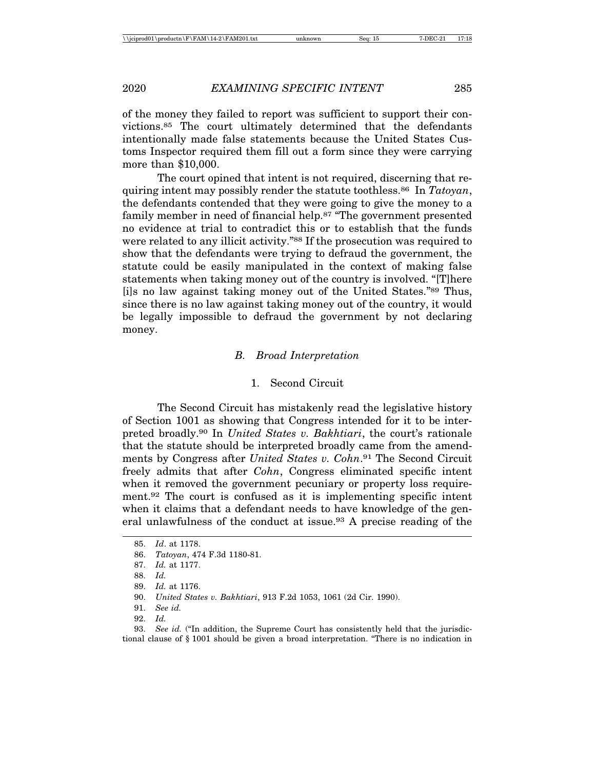of the money they failed to report was sufficient to support their convictions.85 The court ultimately determined that the defendants intentionally made false statements because the United States Customs Inspector required them fill out a form since they were carrying more than \$10,000.

The court opined that intent is not required, discerning that requiring intent may possibly render the statute toothless.86 In *Tatoyan*, the defendants contended that they were going to give the money to a family member in need of financial help.<sup>87</sup> "The government presented no evidence at trial to contradict this or to establish that the funds were related to any illicit activity."<sup>88</sup> If the prosecution was required to show that the defendants were trying to defraud the government, the statute could be easily manipulated in the context of making false statements when taking money out of the country is involved. "[T]here [i]s no law against taking money out of the United States."89 Thus, since there is no law against taking money out of the country, it would be legally impossible to defraud the government by not declaring money.

#### *B. Broad Interpretation*

#### 1. Second Circuit

The Second Circuit has mistakenly read the legislative history of Section 1001 as showing that Congress intended for it to be interpreted broadly.90 In *United States v. Bakhtiari*, the court's rationale that the statute should be interpreted broadly came from the amendments by Congress after *United States v. Cohn*.91 The Second Circuit freely admits that after *Cohn*, Congress eliminated specific intent when it removed the government pecuniary or property loss requirement.92 The court is confused as it is implementing specific intent when it claims that a defendant needs to have knowledge of the general unlawfulness of the conduct at issue.93 A precise reading of the

<sup>85.</sup> *Id*. at 1178.

<sup>86.</sup> *Tatoyan*, 474 F.3d 1180-81.

<sup>87.</sup> *Id.* at 1177.

<sup>88.</sup> *Id.*

<sup>89.</sup> *Id.* at 1176.

<sup>90.</sup> *United States v. Bakhtiari*, 913 F.2d 1053, 1061 (2d Cir. 1990).

<sup>91.</sup> *See id.*

<sup>92.</sup> *Id.*

<sup>93.</sup> *See id.* ("In addition, the Supreme Court has consistently held that the jurisdictional clause of § 1001 should be given a broad interpretation. "There is no indication in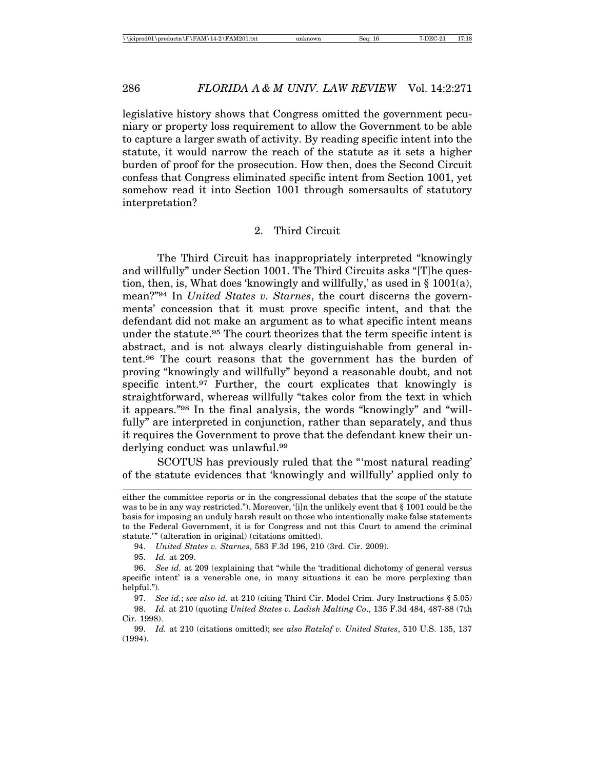legislative history shows that Congress omitted the government pecuniary or property loss requirement to allow the Government to be able to capture a larger swath of activity. By reading specific intent into the statute, it would narrow the reach of the statute as it sets a higher burden of proof for the prosecution. How then, does the Second Circuit confess that Congress eliminated specific intent from Section 1001, yet somehow read it into Section 1001 through somersaults of statutory interpretation?

#### 2. Third Circuit

The Third Circuit has inappropriately interpreted "knowingly and willfully" under Section 1001. The Third Circuits asks "[T]he question, then, is, What does 'knowingly and willfully,' as used in § 1001(a), mean?"94 In *United States v. Starnes*, the court discerns the governments' concession that it must prove specific intent, and that the defendant did not make an argument as to what specific intent means under the statute.<sup>95</sup> The court theorizes that the term specific intent is abstract, and is not always clearly distinguishable from general intent.96 The court reasons that the government has the burden of proving "knowingly and willfully" beyond a reasonable doubt, and not specific intent.<sup>97</sup> Further, the court explicates that knowingly is straightforward, whereas willfully "takes color from the text in which it appears."98 In the final analysis, the words "knowingly" and "willfully" are interpreted in conjunction, rather than separately, and thus it requires the Government to prove that the defendant knew their underlying conduct was unlawful.<sup>99</sup>

SCOTUS has previously ruled that the "'most natural reading' of the statute evidences that 'knowingly and willfully' applied only to

95. *Id.* at 209.

either the committee reports or in the congressional debates that the scope of the statute was to be in any way restricted."). Moreover, '[i]n the unlikely event that § 1001 could be the basis for imposing an unduly harsh result on those who intentionally make false statements to the Federal Government, it is for Congress and not this Court to amend the criminal statute.'" (alteration in original) (citations omitted).

<sup>94.</sup> *United States v. Starnes*, 583 F.3d 196, 210 (3rd. Cir. 2009).

<sup>96.</sup> *See id.* at 209 (explaining that "while the 'traditional dichotomy of general versus specific intent' is a venerable one, in many situations it can be more perplexing than helpful.").

<sup>97.</sup> *See id.*; *see also id.* at 210 (citing Third Cir. Model Crim. Jury Instructions § 5.05)

<sup>98.</sup> *Id.* at 210 (quoting *United States v. Ladish Malting Co*., 135 F.3d 484, 487-88 (7th Cir. 1998).

<sup>99.</sup> *Id.* at 210 (citations omitted); *see also Ratzlaf v. United States*, 510 U.S. 135, 137 (1994).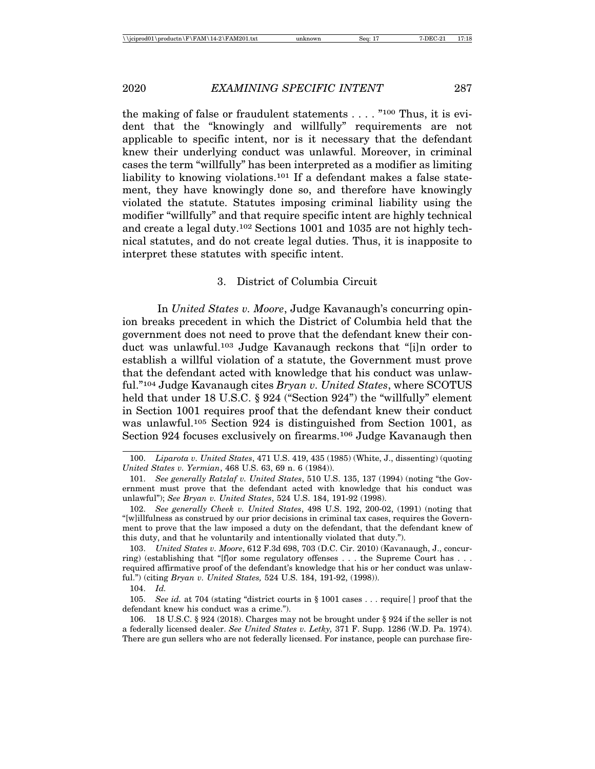the making of false or fraudulent statements  $\dots$  . "<sup>100</sup> Thus, it is evident that the "knowingly and willfully" requirements are not applicable to specific intent, nor is it necessary that the defendant knew their underlying conduct was unlawful. Moreover, in criminal cases the term "willfully" has been interpreted as a modifier as limiting liability to knowing violations.<sup>101</sup> If a defendant makes a false statement, they have knowingly done so, and therefore have knowingly violated the statute. Statutes imposing criminal liability using the modifier "willfully" and that require specific intent are highly technical and create a legal duty.102 Sections 1001 and 1035 are not highly technical statutes, and do not create legal duties. Thus, it is inapposite to interpret these statutes with specific intent.

#### 3. District of Columbia Circuit

In *United States v. Moore*, Judge Kavanaugh's concurring opinion breaks precedent in which the District of Columbia held that the government does not need to prove that the defendant knew their conduct was unlawful.103 Judge Kavanaugh reckons that "[i]n order to establish a willful violation of a statute, the Government must prove that the defendant acted with knowledge that his conduct was unlawful."104 Judge Kavanaugh cites *Bryan v. United States*, where SCOTUS held that under 18 U.S.C. § 924 ("Section 924") the "willfully" element in Section 1001 requires proof that the defendant knew their conduct was unlawful.105 Section 924 is distinguished from Section 1001, as Section 924 focuses exclusively on firearms.<sup>106</sup> Judge Kavanaugh then

<sup>100.</sup> *Liparota v. United States*, 471 U.S. 419, 435 (1985) (White, J., dissenting) (quoting *United States v. Yermian*, 468 U.S. 63, 69 n. 6 (1984)).

<sup>101.</sup> *See generally Ratzlaf v. United States*, 510 U.S. 135, 137 (1994) (noting "the Government must prove that the defendant acted with knowledge that his conduct was unlawful"); *See Bryan v. United States*, 524 U.S. 184, 191-92 (1998).

<sup>102.</sup> *See generally Cheek v. United States*, 498 U.S. 192, 200-02, (1991) (noting that "[w]illfulness as construed by our prior decisions in criminal tax cases, requires the Government to prove that the law imposed a duty on the defendant, that the defendant knew of this duty, and that he voluntarily and intentionally violated that duty.").

<sup>103.</sup> *United States v. Moore*, 612 F.3d 698, 703 (D.C. Cir. 2010) (Kavanaugh, J., concurring) (establishing that "[f]or some regulatory offenses  $\dots$  the Supreme Court has  $\dots$ required affirmative proof of the defendant's knowledge that his or her conduct was unlawful.") (citing *Bryan v. United States,* 524 U.S. 184, 191-92, (1998)).

<sup>104.</sup> *Id.*

<sup>105.</sup> *See id.* at 704 (stating "district courts in § 1001 cases . . . require[ ] proof that the defendant knew his conduct was a crime.").

<sup>106. 18</sup> U.S.C. § 924 (2018). Charges may not be brought under § 924 if the seller is not a federally licensed dealer. *See United States v. Letky,* 371 F. Supp. 1286 (W.D. Pa. 1974). There are gun sellers who are not federally licensed. For instance, people can purchase fire-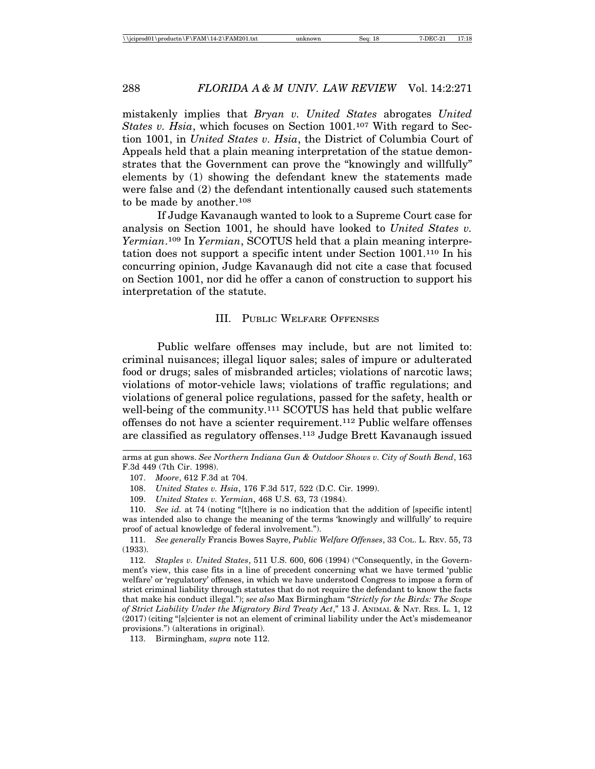mistakenly implies that *Bryan v. United States* abrogates *United States v. Hsia*, which focuses on Section 1001.<sup>107</sup> With regard to Section 1001, in *United States v. Hsia*, the District of Columbia Court of Appeals held that a plain meaning interpretation of the statue demonstrates that the Government can prove the "knowingly and willfully" elements by (1) showing the defendant knew the statements made were false and (2) the defendant intentionally caused such statements to be made by another.108

If Judge Kavanaugh wanted to look to a Supreme Court case for analysis on Section 1001, he should have looked to *United States v. Yermian*.109 In *Yermian*, SCOTUS held that a plain meaning interpretation does not support a specific intent under Section 1001.110 In his concurring opinion, Judge Kavanaugh did not cite a case that focused on Section 1001, nor did he offer a canon of construction to support his interpretation of the statute.

#### III. PUBLIC WELFARE OFFENSES

Public welfare offenses may include, but are not limited to: criminal nuisances; illegal liquor sales; sales of impure or adulterated food or drugs; sales of misbranded articles; violations of narcotic laws; violations of motor-vehicle laws; violations of traffic regulations; and violations of general police regulations, passed for the safety, health or well-being of the community.<sup>111</sup> SCOTUS has held that public welfare offenses do not have a scienter requirement.112 Public welfare offenses are classified as regulatory offenses.113 Judge Brett Kavanaugh issued

111. *See generally* Francis Bowes Sayre, *Public Welfare Offenses*, 33 COL. L. REV. 55, 73 (1933).

112. *Staples v. United States*, 511 U.S. 600, 606 (1994) ("Consequently, in the Government's view, this case fits in a line of precedent concerning what we have termed 'public welfare' or 'regulatory' offenses, in which we have understood Congress to impose a form of strict criminal liability through statutes that do not require the defendant to know the facts that make his conduct illegal."); *see also* Max Birmingham "*Strictly for the Birds: The Scope of Strict Liability Under the Migratory Bird Treaty Act*," 13 J. ANIMAL & NAT. RES. L. 1, 12 (2017) (citing "[s]cienter is not an element of criminal liability under the Act's misdemeanor provisions.") (alterations in original).

113. Birmingham, *supra* note 112.

arms at gun shows. *See Northern Indiana Gun & Outdoor Shows v. City of South Bend*, 163 F.3d 449 (7th Cir. 1998).

<sup>107.</sup> *Moore*, 612 F.3d at 704.

<sup>108.</sup> *United States v. Hsia*, 176 F.3d 517, 522 (D.C. Cir. 1999).

<sup>109.</sup> *United States v. Yermian*, 468 U.S. 63, 73 (1984).

<sup>110.</sup> *See id.* at 74 (noting "[t]here is no indication that the addition of [specific intent] was intended also to change the meaning of the terms 'knowingly and willfully' to require proof of actual knowledge of federal involvement.").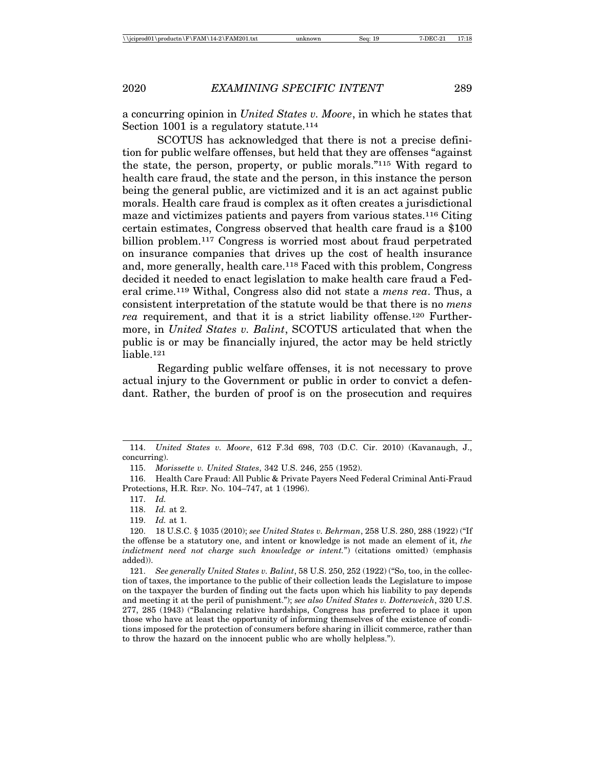a concurring opinion in *United States v. Moore*, in which he states that Section 1001 is a regulatory statute.<sup>114</sup>

SCOTUS has acknowledged that there is not a precise definition for public welfare offenses, but held that they are offenses "against the state, the person, property, or public morals."115 With regard to health care fraud, the state and the person, in this instance the person being the general public, are victimized and it is an act against public morals. Health care fraud is complex as it often creates a jurisdictional maze and victimizes patients and payers from various states.116 Citing certain estimates, Congress observed that health care fraud is a \$100 billion problem.117 Congress is worried most about fraud perpetrated on insurance companies that drives up the cost of health insurance and, more generally, health care.118 Faced with this problem, Congress decided it needed to enact legislation to make health care fraud a Federal crime.119 Withal, Congress also did not state a *mens rea*. Thus, a consistent interpretation of the statute would be that there is no *mens rea* requirement, and that it is a strict liability offense.120 Furthermore, in *United States v. Balint*, SCOTUS articulated that when the public is or may be financially injured, the actor may be held strictly liable.121

Regarding public welfare offenses, it is not necessary to prove actual injury to the Government or public in order to convict a defendant. Rather, the burden of proof is on the prosecution and requires

<sup>114.</sup> *United States v. Moore*, 612 F.3d 698, 703 (D.C. Cir. 2010) (Kavanaugh, J., concurring).

<sup>115.</sup> *Morissette v. United States*, 342 U.S. 246, 255 (1952).

<sup>116.</sup> Health Care Fraud: All Public & Private Payers Need Federal Criminal Anti-Fraud Protections, H.R. REP. NO. 104–747, at 1 (1996).

<sup>117.</sup> *Id.*

<sup>118.</sup> *Id.* at 2.

<sup>119.</sup> *Id.* at 1.

<sup>120. 18</sup> U.S.C. § 1035 (2010); *see United States v. Behrman*, 258 U.S. 280, 288 (1922) ("If the offense be a statutory one, and intent or knowledge is not made an element of it, *the indictment need not charge such knowledge or intent.*") (citations omitted) (emphasis added)).

<sup>121.</sup> *See generally United States v. Balint*, 58 U.S. 250, 252 (1922) ("So, too, in the collection of taxes, the importance to the public of their collection leads the Legislature to impose on the taxpayer the burden of finding out the facts upon which his liability to pay depends and meeting it at the peril of punishment."); *see also United States v. Dotterweich*, 320 U.S. 277, 285 (1943) ("Balancing relative hardships, Congress has preferred to place it upon those who have at least the opportunity of informing themselves of the existence of conditions imposed for the protection of consumers before sharing in illicit commerce, rather than to throw the hazard on the innocent public who are wholly helpless.").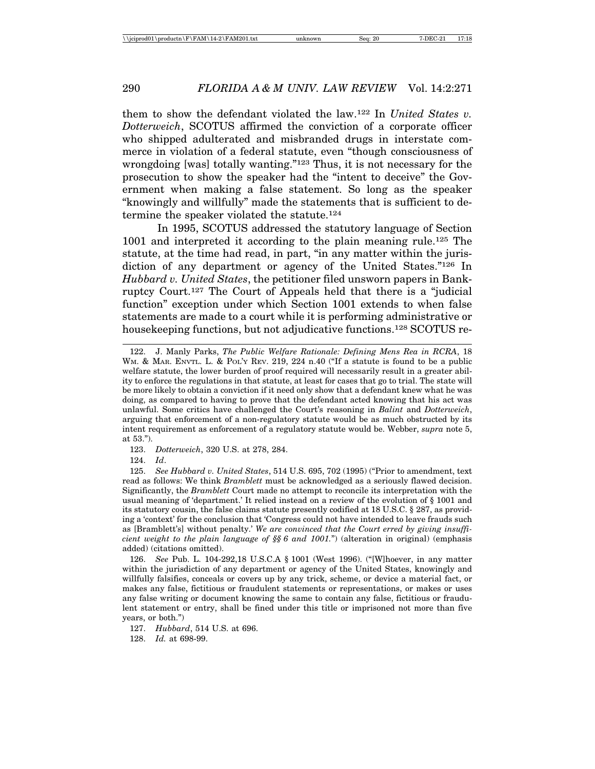them to show the defendant violated the law.122 In *United States v. Dotterweich*, SCOTUS affirmed the conviction of a corporate officer who shipped adulterated and misbranded drugs in interstate commerce in violation of a federal statute, even "though consciousness of wrongdoing [was] totally wanting."123 Thus, it is not necessary for the prosecution to show the speaker had the "intent to deceive" the Government when making a false statement. So long as the speaker "knowingly and willfully" made the statements that is sufficient to determine the speaker violated the statute.124

In 1995, SCOTUS addressed the statutory language of Section 1001 and interpreted it according to the plain meaning rule.125 The statute, at the time had read, in part, "in any matter within the jurisdiction of any department or agency of the United States."126 In *Hubbard v. United States*, the petitioner filed unsworn papers in Bankruptcy Court.127 The Court of Appeals held that there is a "judicial function" exception under which Section 1001 extends to when false statements are made to a court while it is performing administrative or housekeeping functions, but not adjudicative functions.128 SCOTUS re-

123. *Dotterweich*, 320 U.S. at 278, 284.

124. *Id*.

126. *See* Pub. L. 104-292,18 U.S.C.A § 1001 (West 1996). ("[W]hoever, in any matter within the jurisdiction of any department or agency of the United States, knowingly and willfully falsifies, conceals or covers up by any trick, scheme, or device a material fact, or makes any false, fictitious or fraudulent statements or representations, or makes or uses any false writing or document knowing the same to contain any false, fictitious or fraudulent statement or entry, shall be fined under this title or imprisoned not more than five years, or both.")

127. *Hubbard*, 514 U.S. at 696.

128. *Id.* at 698-99.

<sup>122.</sup> J. Manly Parks, *The Public Welfare Rationale: Defining Mens Rea in RCRA*, 18 W<sub>M.</sub> & MAR. ENVTL. L. & POL'Y REV. 219, 224 n.40 ("If a statute is found to be a public welfare statute, the lower burden of proof required will necessarily result in a greater ability to enforce the regulations in that statute, at least for cases that go to trial. The state will be more likely to obtain a conviction if it need only show that a defendant knew what he was doing, as compared to having to prove that the defendant acted knowing that his act was unlawful. Some critics have challenged the Court's reasoning in *Balint* and *Dotterweich*, arguing that enforcement of a non-regulatory statute would be as much obstructed by its intent requirement as enforcement of a regulatory statute would be. Webber, *supra* note 5, at 53.").

<sup>125.</sup> *See Hubbard v. United States*, 514 U.S. 695, 702 (1995) ("Prior to amendment, text read as follows: We think *Bramblett* must be acknowledged as a seriously flawed decision. Significantly, the *Bramblett* Court made no attempt to reconcile its interpretation with the usual meaning of 'department.' It relied instead on a review of the evolution of § 1001 and its statutory cousin, the false claims statute presently codified at 18 U.S.C. § 287, as providing a 'context' for the conclusion that 'Congress could not have intended to leave frauds such as [Bramblett's] without penalty.' *We are convinced that the Court erred by giving insufficient weight to the plain language of §§ 6 and 1001.*") (alteration in original) (emphasis added) (citations omitted).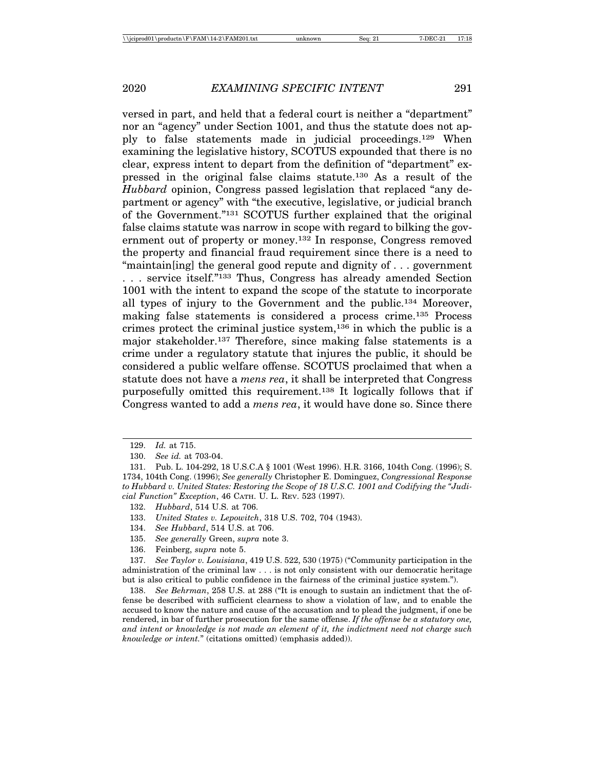versed in part, and held that a federal court is neither a "department" nor an "agency" under Section 1001, and thus the statute does not apply to false statements made in judicial proceedings.129 When examining the legislative history, SCOTUS expounded that there is no clear, express intent to depart from the definition of "department" expressed in the original false claims statute.130 As a result of the *Hubbard* opinion, Congress passed legislation that replaced "any department or agency" with "the executive, legislative, or judicial branch of the Government."131 SCOTUS further explained that the original false claims statute was narrow in scope with regard to bilking the government out of property or money.132 In response, Congress removed the property and financial fraud requirement since there is a need to "maintain[ing] the general good repute and dignity of . . . government . . . service itself."133 Thus, Congress has already amended Section 1001 with the intent to expand the scope of the statute to incorporate all types of injury to the Government and the public.134 Moreover, making false statements is considered a process crime.135 Process crimes protect the criminal justice system, $136$  in which the public is a major stakeholder.137 Therefore, since making false statements is a crime under a regulatory statute that injures the public, it should be considered a public welfare offense. SCOTUS proclaimed that when a statute does not have a *mens rea*, it shall be interpreted that Congress purposefully omitted this requirement.138 It logically follows that if Congress wanted to add a *mens rea*, it would have done so. Since there

- 133. *United States v. Lepowitch*, 318 U.S. 702, 704 (1943).
- 134. *See Hubbard*, 514 U.S. at 706.
- 135. *See generally* Green, *supra* note 3.
- 136. Feinberg, *supra* note 5.

<sup>129.</sup> *Id.* at 715.

<sup>130.</sup> *See id.* at 703-04.

<sup>131.</sup> Pub. L. 104-292, 18 U.S.C.A § 1001 (West 1996). H.R. 3166, 104th Cong. (1996); S. 1734, 104th Cong. (1996); *See generally* Christopher E. Dominguez, *Congressional Response to Hubbard v. United States: Restoring the Scope of 18 U.S.C. 1001 and Codifying the "Judicial Function" Exception*, 46 CATH. U. L. REV. 523 (1997).

<sup>132.</sup> *Hubbard*, 514 U.S. at 706.

<sup>137.</sup> *See Taylor v. Louisiana*, 419 U.S. 522, 530 (1975) ("Community participation in the administration of the criminal law . . . is not only consistent with our democratic heritage but is also critical to public confidence in the fairness of the criminal justice system.").

<sup>138.</sup> *See Behrman*, 258 U.S. at 288 ("It is enough to sustain an indictment that the offense be described with sufficient clearness to show a violation of law, and to enable the accused to know the nature and cause of the accusation and to plead the judgment, if one be rendered, in bar of further prosecution for the same offense. *If the offense be a statutory one, and intent or knowledge is not made an element of it, the indictment need not charge such knowledge or intent.*" (citations omitted) (emphasis added)).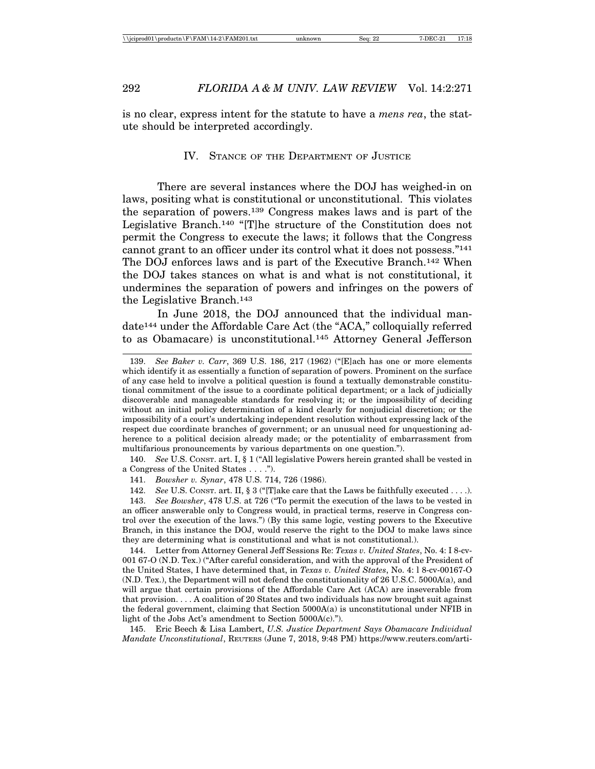is no clear, express intent for the statute to have a *mens rea*, the statute should be interpreted accordingly.

#### IV. STANCE OF THE DEPARTMENT OF JUSTICE

There are several instances where the DOJ has weighed-in on laws, positing what is constitutional or unconstitutional. This violates the separation of powers.139 Congress makes laws and is part of the Legislative Branch.140 "[T]he structure of the Constitution does not permit the Congress to execute the laws; it follows that the Congress cannot grant to an officer under its control what it does not possess."141 The DOJ enforces laws and is part of the Executive Branch.142 When the DOJ takes stances on what is and what is not constitutional, it undermines the separation of powers and infringes on the powers of the Legislative Branch.143

In June 2018, the DOJ announced that the individual mandate144 under the Affordable Care Act (the "ACA," colloquially referred to as Obamacare) is unconstitutional.145 Attorney General Jefferson

<sup>139.</sup> *See Baker v. Carr*, 369 U.S. 186, 217 (1962) ("[E]ach has one or more elements which identify it as essentially a function of separation of powers. Prominent on the surface of any case held to involve a political question is found a textually demonstrable constitutional commitment of the issue to a coordinate political department; or a lack of judicially discoverable and manageable standards for resolving it; or the impossibility of deciding without an initial policy determination of a kind clearly for nonjudicial discretion; or the impossibility of a court's undertaking independent resolution without expressing lack of the respect due coordinate branches of government; or an unusual need for unquestioning adherence to a political decision already made; or the potentiality of embarrassment from multifarious pronouncements by various departments on one question.").

<sup>140.</sup> *See* U.S. CONST. art. I, § 1 ("All legislative Powers herein granted shall be vested in a Congress of the United States . . . .").

<sup>141.</sup> *Bowsher v. Synar*, 478 U.S. 714, 726 (1986).

<sup>142.</sup> *See* U.S. CONST. art. II, § 3 ("[T]ake care that the Laws be faithfully executed . . . .).

<sup>143.</sup> *See Bowsher*, 478 U.S. at 726 ("To permit the execution of the laws to be vested in an officer answerable only to Congress would, in practical terms, reserve in Congress control over the execution of the laws.") (By this same logic, vesting powers to the Executive Branch, in this instance the DOJ, would reserve the right to the DOJ to make laws since they are determining what is constitutional and what is not constitutional.).

<sup>144.</sup> Letter from Attorney General Jeff Sessions Re: *Texas v. United States*, No. 4: I 8-cv-001 67-O (N.D. Tex.) ("After careful consideration, and with the approval of the President of the United States, I have determined that, in *Texas v. United States*, No. 4: l 8-cv-00167-O (N.D. Tex.), the Department will not defend the constitutionality of 26 U.S.C. 5000A(a), and will argue that certain provisions of the Affordable Care Act (ACA) are inseverable from that provision. . . . A coalition of 20 States and two individuals has now brought suit against the federal government, claiming that Section  $5000A(a)$  is unconstitutional under NFIB in light of the Jobs Act's amendment to Section 5000A(c).").

<sup>145.</sup> Eric Beech & Lisa Lambert, *U.S. Justice Department Says Obamacare Individual Mandate Unconstitutional*, REUTERS (June 7, 2018, 9:48 PM) https://www.reuters.com/arti-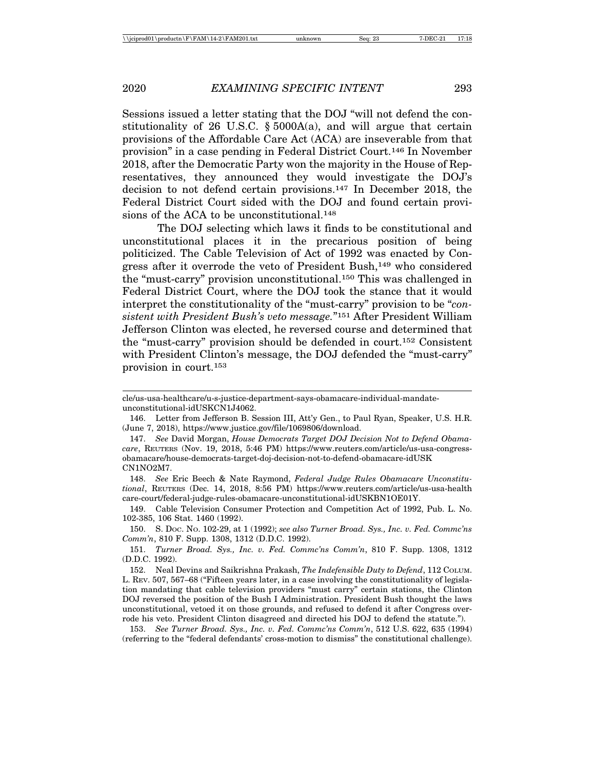Sessions issued a letter stating that the DOJ "will not defend the constitutionality of 26 U.S.C.  $\S$  5000A(a), and will argue that certain provisions of the Affordable Care Act (ACA) are inseverable from that provision" in a case pending in Federal District Court.146 In November 2018, after the Democratic Party won the majority in the House of Representatives, they announced they would investigate the DOJ's decision to not defend certain provisions.147 In December 2018, the Federal District Court sided with the DOJ and found certain provisions of the ACA to be unconstitutional.<sup>148</sup>

The DOJ selecting which laws it finds to be constitutional and unconstitutional places it in the precarious position of being politicized. The Cable Television of Act of 1992 was enacted by Congress after it overrode the veto of President Bush,<sup>149</sup> who considered the "must-carry" provision unconstitutional.150 This was challenged in Federal District Court, where the DOJ took the stance that it would interpret the constitutionality of the "must-carry" provision to be "*consistent with President Bush's veto message.*"151 After President William Jefferson Clinton was elected, he reversed course and determined that the "must-carry" provision should be defended in court.152 Consistent with President Clinton's message, the DOJ defended the "must-carry" provision in court.153

149. Cable Television Consumer Protection and Competition Act of 1992, Pub. L. No. 102-385, 106 Stat. 1460 (1992).

150. S. DOC. NO. 102-29, at 1 (1992); *see also Turner Broad. Sys., Inc. v. Fed. Commc'ns Comm'n*, 810 F. Supp. 1308, 1312 (D.D.C. 1992).

153. *See Turner Broad. Sys., Inc. v. Fed. Commc'ns Comm'n*, 512 U.S. 622, 635 (1994) (referring to the "federal defendants' cross-motion to dismiss" the constitutional challenge).

cle/us-usa-healthcare/u-s-justice-department-says-obamacare-individual-mandateunconstitutional-idUSKCN1J4062.

<sup>146.</sup> Letter from Jefferson B. Session III, Att'y Gen., to Paul Ryan, Speaker, U.S. H.R. (June 7, 2018), https://www.justice.gov/file/1069806/download.

<sup>147.</sup> *See* David Morgan, *House Democrats Target DOJ Decision Not to Defend Obamacare*, REUTERS (Nov. 19, 2018, 5:46 PM) https://www.reuters.com/article/us-usa-congressobamacare/house-democrats-target-doj-decision-not-to-defend-obamacare-idUSK CN1NO2M7.

<sup>148.</sup> *See* Eric Beech & Nate Raymond, *Federal Judge Rules Obamacare Unconstitutional*, REUTERS (Dec. 14, 2018, 8:56 PM) https://www.reuters.com/article/us-usa-health care-court/federal-judge-rules-obamacare-unconstitutional-idUSKBN1OE01Y.

<sup>151.</sup> *Turner Broad. Sys., Inc. v. Fed. Commc'ns Comm'n*, 810 F. Supp. 1308, 1312 (D.D.C. 1992).

<sup>152.</sup> Neal Devins and Saikrishna Prakash, *The Indefensible Duty to Defend*, 112 COLUM. L. REV. 507, 567–68 ("Fifteen years later, in a case involving the constitutionality of legislation mandating that cable television providers "must carry" certain stations, the Clinton DOJ reversed the position of the Bush I Administration. President Bush thought the laws unconstitutional, vetoed it on those grounds, and refused to defend it after Congress overrode his veto. President Clinton disagreed and directed his DOJ to defend the statute.").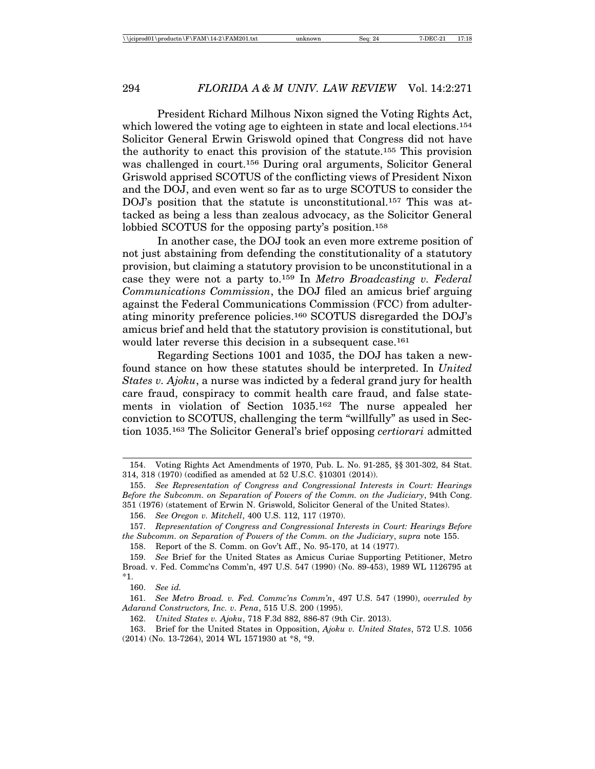President Richard Milhous Nixon signed the Voting Rights Act, which lowered the voting age to eighteen in state and local elections.<sup>154</sup> Solicitor General Erwin Griswold opined that Congress did not have the authority to enact this provision of the statute.155 This provision was challenged in court.156 During oral arguments, Solicitor General Griswold apprised SCOTUS of the conflicting views of President Nixon and the DOJ, and even went so far as to urge SCOTUS to consider the DOJ's position that the statute is unconstitutional.<sup>157</sup> This was attacked as being a less than zealous advocacy, as the Solicitor General lobbied SCOTUS for the opposing party's position.158

In another case, the DOJ took an even more extreme position of not just abstaining from defending the constitutionality of a statutory provision, but claiming a statutory provision to be unconstitutional in a case they were not a party to.159 In *Metro Broadcasting v. Federal Communications Commission*, the DOJ filed an amicus brief arguing against the Federal Communications Commission (FCC) from adulterating minority preference policies.160 SCOTUS disregarded the DOJ's amicus brief and held that the statutory provision is constitutional, but would later reverse this decision in a subsequent case.<sup>161</sup>

Regarding Sections 1001 and 1035, the DOJ has taken a newfound stance on how these statutes should be interpreted. In *United States v. Ajoku*, a nurse was indicted by a federal grand jury for health care fraud, conspiracy to commit health care fraud, and false statements in violation of Section 1035.162 The nurse appealed her conviction to SCOTUS, challenging the term "willfully" as used in Section 1035.163 The Solicitor General's brief opposing *certiorari* admitted

159. *See* Brief for the United States as Amicus Curiae Supporting Petitioner, Metro Broad. v. Fed. Commc'ns Comm'n, 497 U.S. 547 (1990) (No. 89-453), 1989 WL 1126795 at \*1.

162. *United States v. Ajoku*, 718 F.3d 882, 886-87 (9th Cir. 2013).

163. Brief for the United States in Opposition, *Ajoku v. United States*, 572 U.S. 1056 (2014) (No. 13-7264), 2014 WL 1571930 at \*8, \*9.

<sup>154.</sup> Voting Rights Act Amendments of 1970, Pub. L. No. 91-285, §§ 301-302, 84 Stat. 314, 318 (1970) (codified as amended at 52 U.S.C. §10301 (2014)).

<sup>155.</sup> *See Representation of Congress and Congressional Interests in Court: Hearings Before the Subcomm. on Separation of Powers of the Comm. on the Judiciary*, 94th Cong. 351 (1976) (statement of Erwin N. Griswold, Solicitor General of the United States).

<sup>156.</sup> *See Oregon v. Mitchell*, 400 U.S. 112, 117 (1970).

<sup>157.</sup> *Representation of Congress and Congressional Interests in Court: Hearings Before the Subcomm. on Separation of Powers of the Comm. on the Judiciary*, *supra* note 155.

<sup>158.</sup> Report of the S. Comm. on Gov't Aff., No. 95-170, at 14 (1977).

<sup>160.</sup> *See id.*

<sup>161.</sup> *See Metro Broad. v. Fed. Commc'ns Comm'n*, 497 U.S. 547 (1990), *overruled by Adarand Constructors, Inc. v. Pena*, 515 U.S. 200 (1995).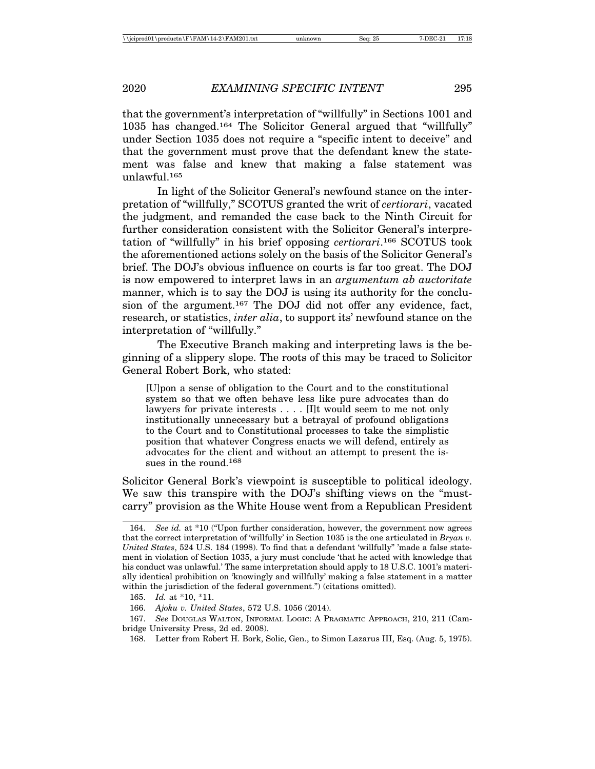that the government's interpretation of "willfully" in Sections 1001 and 1035 has changed.164 The Solicitor General argued that "willfully" under Section 1035 does not require a "specific intent to deceive" and that the government must prove that the defendant knew the statement was false and knew that making a false statement was unlawful.165

In light of the Solicitor General's newfound stance on the interpretation of "willfully," SCOTUS granted the writ of *certiorari*, vacated the judgment, and remanded the case back to the Ninth Circuit for further consideration consistent with the Solicitor General's interpretation of "willfully" in his brief opposing *certiorari*.166 SCOTUS took the aforementioned actions solely on the basis of the Solicitor General's brief. The DOJ's obvious influence on courts is far too great. The DOJ is now empowered to interpret laws in an *argumentum ab auctoritate* manner, which is to say the DOJ is using its authority for the conclusion of the argument.<sup>167</sup> The DOJ did not offer any evidence, fact, research, or statistics, *inter alia*, to support its' newfound stance on the interpretation of "willfully."

The Executive Branch making and interpreting laws is the beginning of a slippery slope. The roots of this may be traced to Solicitor General Robert Bork, who stated:

[U]pon a sense of obligation to the Court and to the constitutional system so that we often behave less like pure advocates than do lawyers for private interests . . . . [I]t would seem to me not only institutionally unnecessary but a betrayal of profound obligations to the Court and to Constitutional processes to take the simplistic position that whatever Congress enacts we will defend, entirely as advocates for the client and without an attempt to present the issues in the round.168

Solicitor General Bork's viewpoint is susceptible to political ideology. We saw this transpire with the DOJ's shifting views on the "mustcarry" provision as the White House went from a Republican President

<sup>164.</sup> *See id.* at \*10 ("Upon further consideration, however, the government now agrees that the correct interpretation of 'willfully' in Section 1035 is the one articulated in *Bryan v. United States*, 524 U.S. 184 (1998). To find that a defendant 'willfully" 'made a false statement in violation of Section 1035, a jury must conclude 'that he acted with knowledge that his conduct was unlawful.' The same interpretation should apply to 18 U.S.C. 1001's materially identical prohibition on 'knowingly and willfully' making a false statement in a matter within the jurisdiction of the federal government.") (citations omitted).

<sup>165.</sup> *Id.* at \*10, \*11.

<sup>166.</sup> *Ajoku v. United States*, 572 U.S. 1056 (2014).

<sup>167.</sup> *See* DOUGLAS WALTON, INFORMAL LOGIC: A PRAGMATIC APPROACH, 210, 211 (Cambridge University Press, 2d ed. 2008).

<sup>168.</sup> Letter from Robert H. Bork, Solic, Gen., to Simon Lazarus III, Esq. (Aug. 5, 1975).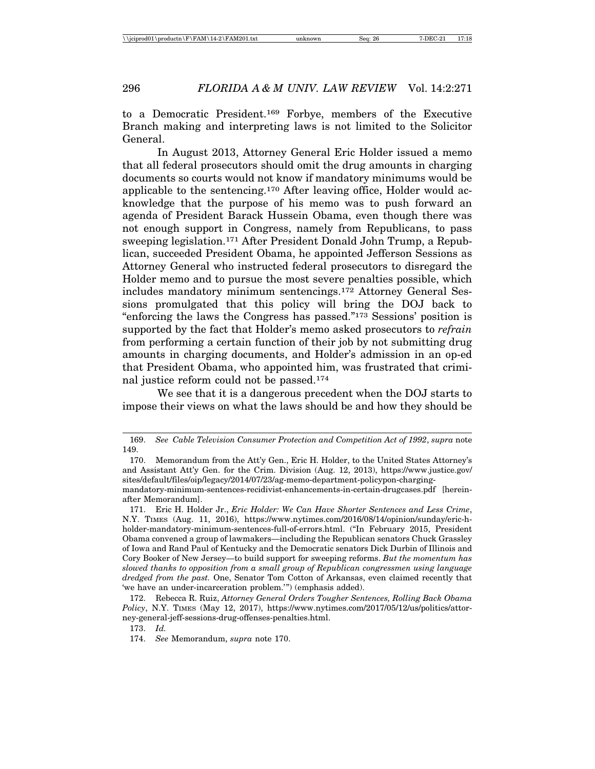to a Democratic President.169 Forbye, members of the Executive Branch making and interpreting laws is not limited to the Solicitor General.

In August 2013, Attorney General Eric Holder issued a memo that all federal prosecutors should omit the drug amounts in charging documents so courts would not know if mandatory minimums would be applicable to the sentencing.170 After leaving office, Holder would acknowledge that the purpose of his memo was to push forward an agenda of President Barack Hussein Obama, even though there was not enough support in Congress, namely from Republicans, to pass sweeping legislation.171 After President Donald John Trump, a Republican, succeeded President Obama, he appointed Jefferson Sessions as Attorney General who instructed federal prosecutors to disregard the Holder memo and to pursue the most severe penalties possible, which includes mandatory minimum sentencings.172 Attorney General Sessions promulgated that this policy will bring the DOJ back to "enforcing the laws the Congress has passed."173 Sessions' position is supported by the fact that Holder's memo asked prosecutors to *refrain* from performing a certain function of their job by not submitting drug amounts in charging documents, and Holder's admission in an op-ed that President Obama, who appointed him, was frustrated that criminal justice reform could not be passed.174

We see that it is a dangerous precedent when the DOJ starts to impose their views on what the laws should be and how they should be

173. *Id.*

<sup>169.</sup> *See Cable Television Consumer Protection and Competition Act of 1992*, *supra* note 149.

<sup>170.</sup> Memorandum from the Att'y Gen., Eric H. Holder, to the United States Attorney's and Assistant Att'y Gen. for the Crim. Division (Aug. 12, 2013), https://www.justice.gov/ sites/default/files/oip/legacy/2014/07/23/ag-memo-department-policypon-chargingmandatory-minimum-sentences-recidivist-enhancements-in-certain-drugcases.pdf [hereinafter Memorandum].

<sup>171.</sup> Eric H. Holder Jr., *Eric Holder: We Can Have Shorter Sentences and Less Crime*, N.Y. TIMES (Aug. 11, 2016), https://www.nytimes.com/2016/08/14/opinion/sunday/eric-hholder-mandatory-minimum-sentences-full-of-errors.html. ("In February 2015, President Obama convened a group of lawmakers—including the Republican senators Chuck Grassley of Iowa and Rand Paul of Kentucky and the Democratic senators Dick Durbin of Illinois and Cory Booker of New Jersey—to build support for sweeping reforms. *But the momentum has slowed thanks to opposition from a small group of Republican congressmen using language dredged from the past.* One, Senator Tom Cotton of Arkansas, even claimed recently that 'we have an under-incarceration problem.'") (emphasis added).

<sup>172.</sup> Rebecca R. Ruiz, *Attorney General Orders Tougher Sentences, Rolling Back Obama Policy*, N.Y. TIMES (May 12, 2017), https://www.nytimes.com/2017/05/12/us/politics/attorney-general-jeff-sessions-drug-offenses-penalties.html.

<sup>174.</sup> *See* Memorandum, *supra* note 170.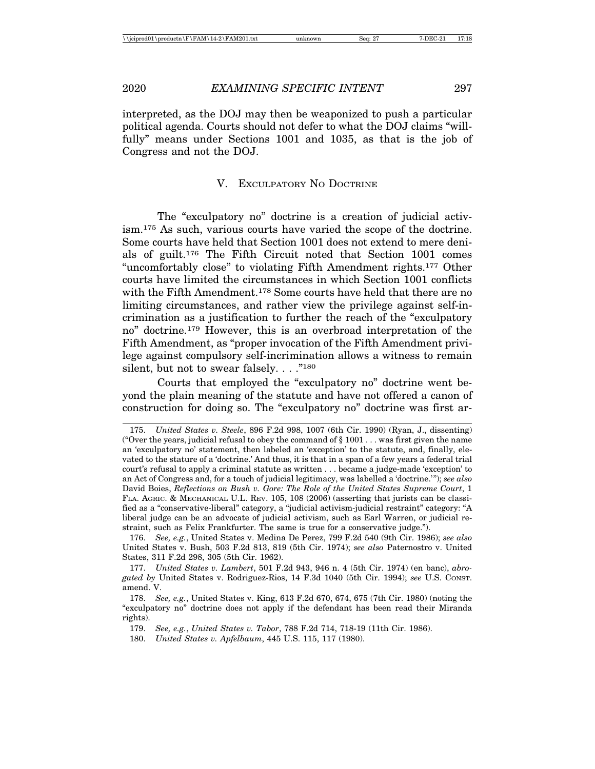interpreted, as the DOJ may then be weaponized to push a particular political agenda. Courts should not defer to what the DOJ claims "willfully" means under Sections 1001 and 1035, as that is the job of Congress and not the DOJ.

## V. EXCULPATORY NO DOCTRINE

The "exculpatory no" doctrine is a creation of judicial activism.175 As such, various courts have varied the scope of the doctrine. Some courts have held that Section 1001 does not extend to mere denials of guilt.176 The Fifth Circuit noted that Section 1001 comes "uncomfortably close" to violating Fifth Amendment rights.177 Other courts have limited the circumstances in which Section 1001 conflicts with the Fifth Amendment.<sup>178</sup> Some courts have held that there are no limiting circumstances, and rather view the privilege against self-incrimination as a justification to further the reach of the "exculpatory no" doctrine.179 However, this is an overbroad interpretation of the Fifth Amendment, as "proper invocation of the Fifth Amendment privilege against compulsory self-incrimination allows a witness to remain silent, but not to swear falsely. . . ."<sup>180</sup>

Courts that employed the "exculpatory no" doctrine went beyond the plain meaning of the statute and have not offered a canon of construction for doing so. The "exculpatory no" doctrine was first ar-

<sup>175.</sup> *United States v. Steele*, 896 F.2d 998, 1007 (6th Cir. 1990) (Ryan, J., dissenting) ("Over the years, judicial refusal to obey the command of  $\S 1001...$  was first given the name an 'exculpatory no' statement, then labeled an 'exception' to the statute, and, finally, elevated to the stature of a 'doctrine.' And thus, it is that in a span of a few years a federal trial court's refusal to apply a criminal statute as written . . . became a judge-made 'exception' to an Act of Congress and, for a touch of judicial legitimacy, was labelled a 'doctrine.'"); *see also* David Boies, *Reflections on Bush v. Gore: The Role of the United States Supreme Court*, 1 FLA. AGRIC. & MECHANICAL U.L. REV. 105, 108 (2006) (asserting that jurists can be classified as a "conservative-liberal" category, a "judicial activism-judicial restraint" category: "A liberal judge can be an advocate of judicial activism, such as Earl Warren, or judicial restraint, such as Felix Frankfurter. The same is true for a conservative judge.").

<sup>176.</sup> *See, e.g.*, United States v. Medina De Perez, 799 F.2d 540 (9th Cir. 1986); *see also* United States v. Bush, 503 F.2d 813, 819 (5th Cir. 1974); *see also* Paternostro v. United States, 311 F.2d 298, 305 (5th Cir. 1962).

<sup>177.</sup> *United States v. Lambert*, 501 F.2d 943, 946 n. 4 (5th Cir. 1974) (en banc), *abrogated by* United States v. Rodriguez-Rios, 14 F.3d 1040 (5th Cir. 1994); *see* U.S. CONST. amend. V.

<sup>178.</sup> *See, e.g.*, United States v. King, 613 F.2d 670, 674, 675 (7th Cir. 1980) (noting the "exculpatory no" doctrine does not apply if the defendant has been read their Miranda rights).

<sup>179.</sup> *See, e.g.*, *United States v. Tabor*, 788 F.2d 714, 718-19 (11th Cir. 1986).

<sup>180.</sup> *United States v. Apfelbaum*, 445 U.S. 115, 117 (1980).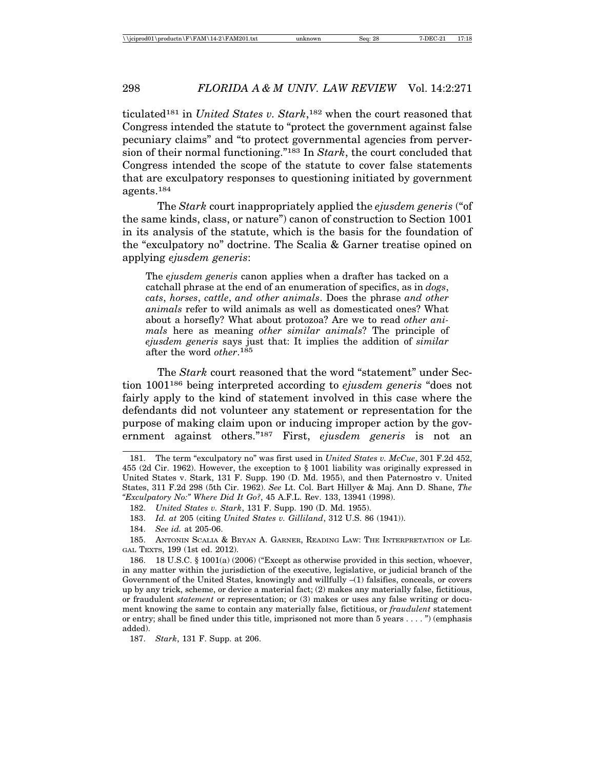ticulated181 in *United States v. Stark*,182 when the court reasoned that Congress intended the statute to "protect the government against false pecuniary claims" and "to protect governmental agencies from perversion of their normal functioning."183 In *Stark*, the court concluded that Congress intended the scope of the statute to cover false statements that are exculpatory responses to questioning initiated by government agents.184

The *Stark* court inappropriately applied the *ejusdem generis* ("of the same kinds, class, or nature") canon of construction to Section 1001 in its analysis of the statute, which is the basis for the foundation of the "exculpatory no" doctrine. The Scalia & Garner treatise opined on applying *ejusdem generis*:

The *ejusdem generis* canon applies when a drafter has tacked on a catchall phrase at the end of an enumeration of specifics, as in *dogs*, *cats*, *horses*, *cattle*, *and other animals*. Does the phrase *and other animals* refer to wild animals as well as domesticated ones? What about a horsefly? What about protozoa? Are we to read *other animals* here as meaning *other similar animals*? The principle of *ejusdem generis* says just that: It implies the addition of *similar* after the word *other*.<sup>185</sup>

The *Stark* court reasoned that the word "statement" under Section 1001186 being interpreted according to *ejusdem generis* "does not fairly apply to the kind of statement involved in this case where the defendants did not volunteer any statement or representation for the purpose of making claim upon or inducing improper action by the government against others."187 First, *ejusdem generis* is not an

187. *Stark*, 131 F. Supp. at 206.

<sup>181.</sup> The term "exculpatory no" was first used in *United States v. McCue*, 301 F.2d 452, 455 (2d Cir. 1962). However, the exception to § 1001 liability was originally expressed in United States v. Stark, 131 F. Supp. 190 (D. Md. 1955), and then Paternostro v. United States, 311 F.2d 298 (5th Cir. 1962). *See* Lt. Col. Bart Hillyer & Maj. Ann D. Shane, *The "Exculpatory No:" Where Did It Go?*, 45 A.F.L. Rev. 133, 13941 (1998).

<sup>182.</sup> *United States v. Stark*, 131 F. Supp. 190 (D. Md. 1955).

<sup>183.</sup> *Id. at* 205 (citing *United States v. Gilliland*, 312 U.S. 86 (1941)).

<sup>184.</sup> *See id.* at 205-06.

<sup>185.</sup> ANTONIN SCALIA & BRYAN A. GARNER, READING LAW: THE INTERPRETATION OF LE-GAL TEXTS, 199 (1st ed. 2012).

<sup>186. 18</sup> U.S.C. § 1001(a) (2006) ("Except as otherwise provided in this section, whoever, in any matter within the jurisdiction of the executive, legislative, or judicial branch of the Government of the United States, knowingly and willfully –(1) falsifies, conceals, or covers up by any trick, scheme, or device a material fact; (2) makes any materially false, fictitious, or fraudulent *statement* or representation; or (3) makes or uses any false writing or document knowing the same to contain any materially false, fictitious, or *fraudulent* statement or entry; shall be fined under this title, imprisoned not more than 5 years . . . . ") (emphasis added).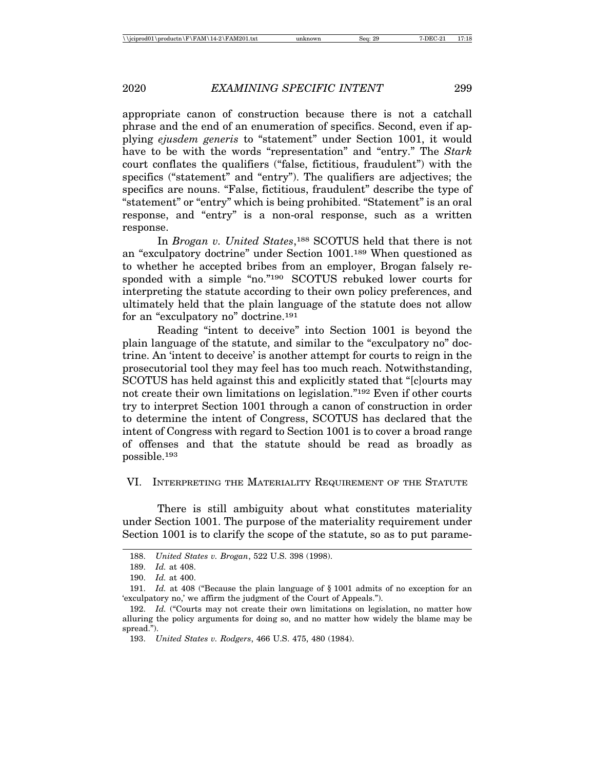appropriate canon of construction because there is not a catchall phrase and the end of an enumeration of specifics. Second, even if applying *ejusdem generis* to "statement" under Section 1001, it would have to be with the words "representation" and "entry." The *Stark* court conflates the qualifiers ("false, fictitious, fraudulent") with the specifics ("statement" and "entry"). The qualifiers are adjectives; the specifics are nouns. "False, fictitious, fraudulent" describe the type of "statement" or "entry" which is being prohibited. "Statement" is an oral response, and "entry" is a non-oral response, such as a written response.

In *Brogan v. United States*,188 SCOTUS held that there is not an "exculpatory doctrine" under Section 1001.189 When questioned as to whether he accepted bribes from an employer, Brogan falsely responded with a simple "no."190 SCOTUS rebuked lower courts for interpreting the statute according to their own policy preferences, and ultimately held that the plain language of the statute does not allow for an "exculpatory no" doctrine.191

Reading "intent to deceive" into Section 1001 is beyond the plain language of the statute, and similar to the "exculpatory no" doctrine. An 'intent to deceive' is another attempt for courts to reign in the prosecutorial tool they may feel has too much reach. Notwithstanding, SCOTUS has held against this and explicitly stated that "[c]ourts may not create their own limitations on legislation."192 Even if other courts try to interpret Section 1001 through a canon of construction in order to determine the intent of Congress, SCOTUS has declared that the intent of Congress with regard to Section 1001 is to cover a broad range of offenses and that the statute should be read as broadly as possible.193

VI. INTERPRETING THE MATERIALITY REQUIREMENT OF THE STATUTE

There is still ambiguity about what constitutes materiality under Section 1001. The purpose of the materiality requirement under Section 1001 is to clarify the scope of the statute, so as to put parame-

<sup>188.</sup> *United States v. Brogan*, 522 U.S. 398 (1998).

<sup>189.</sup> *Id.* at 408.

<sup>190.</sup> *Id.* at 400.

<sup>191.</sup> *Id.* at 408 ("Because the plain language of § 1001 admits of no exception for an 'exculpatory no,' we affirm the judgment of the Court of Appeals.").

<sup>192.</sup> *Id.* ("Courts may not create their own limitations on legislation, no matter how alluring the policy arguments for doing so, and no matter how widely the blame may be spread.").

<sup>193.</sup> *United States v. Rodgers*, 466 U.S. 475, 480 (1984).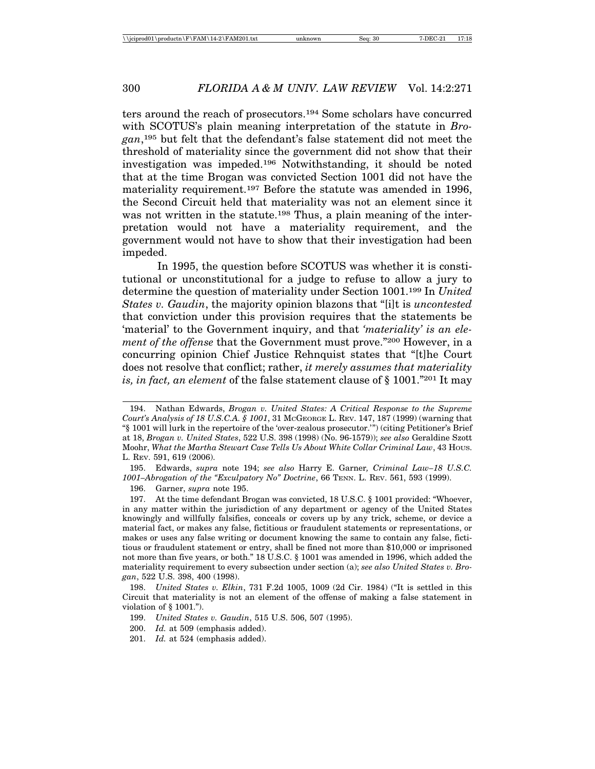ters around the reach of prosecutors.194 Some scholars have concurred with SCOTUS's plain meaning interpretation of the statute in *Brogan*,195 but felt that the defendant's false statement did not meet the threshold of materiality since the government did not show that their investigation was impeded.196 Notwithstanding, it should be noted that at the time Brogan was convicted Section 1001 did not have the materiality requirement.<sup>197</sup> Before the statute was amended in 1996, the Second Circuit held that materiality was not an element since it was not written in the statute.198 Thus, a plain meaning of the interpretation would not have a materiality requirement, and the government would not have to show that their investigation had been impeded.

In 1995, the question before SCOTUS was whether it is constitutional or unconstitutional for a judge to refuse to allow a jury to determine the question of materiality under Section 1001.199 In *United States v. Gaudin*, the majority opinion blazons that "[i]t is *uncontested* that conviction under this provision requires that the statements be 'material' to the Government inquiry, and that *'materiality' is an element of the offense* that the Government must prove."200 However, in a concurring opinion Chief Justice Rehnquist states that "[t]he Court does not resolve that conflict; rather, *it merely assumes that materiality is, in fact, an element* of the false statement clause of § 1001."201 It may

196. Garner, *supra* note 195.

<sup>194.</sup> Nathan Edwards, *Brogan v. United States: A Critical Response to the Supreme Court's Analysis of 18 U.S.C.A. § 1001*, 31 MCGEORGE L. REV. 147, 187 (1999) (warning that "§ 1001 will lurk in the repertoire of the 'over-zealous prosecutor.'") (citing Petitioner's Brief at 18, *Brogan v. United States*, 522 U.S. 398 (1998) (No. 96-1579)); *see also* Geraldine Szott Moohr, *What the Martha Stewart Case Tells Us About White Collar Criminal Law*, 43 HOUS. L. REV. 591, 619 (2006).

<sup>195.</sup> Edwards, *supra* note 194; *see also* Harry E. Garner*, Criminal Law–18 U.S.C. 1001–Abrogation of the "Exculpatory No" Doctrine*, 66 TENN. L. REV. 561, 593 (1999).

<sup>197.</sup> At the time defendant Brogan was convicted, 18 U.S.C. § 1001 provided: "Whoever, in any matter within the jurisdiction of any department or agency of the United States knowingly and willfully falsifies, conceals or covers up by any trick, scheme, or device a material fact, or makes any false, fictitious or fraudulent statements or representations, or makes or uses any false writing or document knowing the same to contain any false, fictitious or fraudulent statement or entry, shall be fined not more than \$10,000 or imprisoned not more than five years, or both." 18 U.S.C. § 1001 was amended in 1996, which added the materiality requirement to every subsection under section (a); *see also United States v. Brogan*, 522 U.S. 398, 400 (1998).

<sup>198.</sup> *United States v. Elkin*, 731 F.2d 1005, 1009 (2d Cir. 1984) ("It is settled in this Circuit that materiality is not an element of the offense of making a false statement in violation of § 1001.").

<sup>199.</sup> *United States v. Gaudin*, 515 U.S. 506, 507 (1995).

<sup>200.</sup> *Id.* at 509 (emphasis added).

<sup>201.</sup> *Id.* at 524 (emphasis added).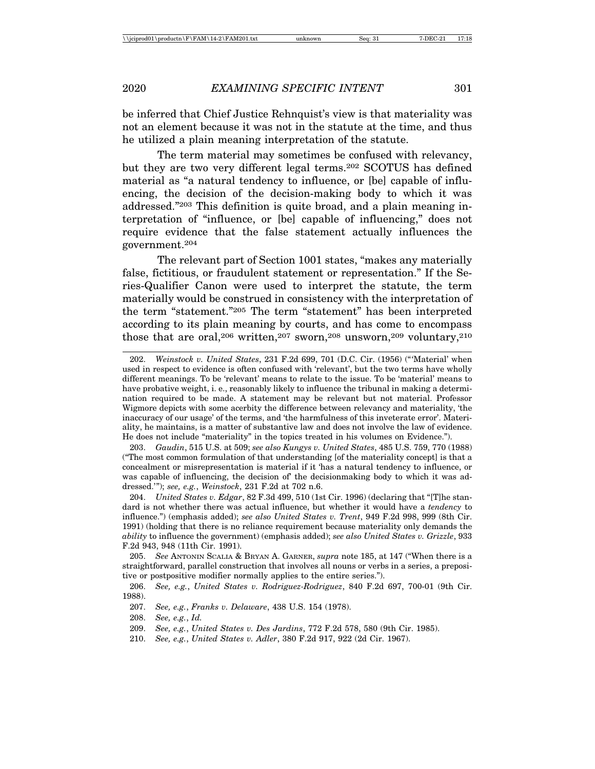be inferred that Chief Justice Rehnquist's view is that materiality was not an element because it was not in the statute at the time, and thus he utilized a plain meaning interpretation of the statute.

The term material may sometimes be confused with relevancy, but they are two very different legal terms.202 SCOTUS has defined material as "a natural tendency to influence, or [be] capable of influencing, the decision of the decision-making body to which it was addressed."203 This definition is quite broad, and a plain meaning interpretation of "influence, or [be] capable of influencing," does not require evidence that the false statement actually influences the government.204

The relevant part of Section 1001 states, "makes any materially false, fictitious, or fraudulent statement or representation." If the Series-Qualifier Canon were used to interpret the statute, the term materially would be construed in consistency with the interpretation of the term "statement."205 The term "statement" has been interpreted according to its plain meaning by courts, and has come to encompass those that are oral,<sup>206</sup> written,<sup>207</sup> sworn,<sup>208</sup> unsworn,<sup>209</sup> voluntary,<sup>210</sup>

210. *See, e.g.*, *United States v. Adler*, 380 F.2d 917, 922 (2d Cir. 1967).

<sup>202.</sup> *Weinstock v. United States*, 231 F.2d 699, 701 (D.C. Cir. (1956) ("'Material' when used in respect to evidence is often confused with 'relevant', but the two terms have wholly different meanings. To be 'relevant' means to relate to the issue. To be 'material' means to have probative weight, i. e., reasonably likely to influence the tribunal in making a determination required to be made. A statement may be relevant but not material. Professor Wigmore depicts with some acerbity the difference between relevancy and materiality, 'the inaccuracy of our usage' of the terms, and 'the harmfulness of this inveterate error'. Materiality, he maintains, is a matter of substantive law and does not involve the law of evidence. He does not include "materiality" in the topics treated in his volumes on Evidence.").

<sup>203.</sup> *Gaudin*, 515 U.S. at 509; *see also Kungys v. United States*, 485 U.S. 759, 770 (1988) ("The most common formulation of that understanding [of the materiality concept] is that a concealment or misrepresentation is material if it 'has a natural tendency to influence, or was capable of influencing, the decision of the decisionmaking body to which it was addressed.'"); *see, e.g.*, *Weinstock*, 231 F.2d at 702 n.6.

<sup>204.</sup> *United States v. Edgar*, 82 F.3d 499, 510 (1st Cir. 1996) (declaring that "[T]he standard is not whether there was actual influence, but whether it would have a *tendency* to influence.") (emphasis added); *see also United States v. Trent*, 949 F.2d 998, 999 (8th Cir. 1991) (holding that there is no reliance requirement because materiality only demands the *ability* to influence the government) (emphasis added); *see also United States v. Grizzle*, 933 F.2d 943, 948 (11th Cir. 1991).

<sup>205.</sup> *See* ANTONIN SCALIA & BRYAN A. GARNER, *supra* note 185, at 147 ("When there is a straightforward, parallel construction that involves all nouns or verbs in a series, a prepositive or postpositive modifier normally applies to the entire series.").

<sup>206.</sup> *See, e.g.*, *United States v. Rodriguez-Rodriguez*, 840 F.2d 697, 700-01 (9th Cir. 1988).

<sup>207.</sup> *See, e.g.*, *Franks v. Delaware*, 438 U.S. 154 (1978).

<sup>208.</sup> *See, e.g.*, *Id.*

<sup>209.</sup> *See, e.g.*, *United States v. Des Jardins*, 772 F.2d 578, 580 (9th Cir. 1985).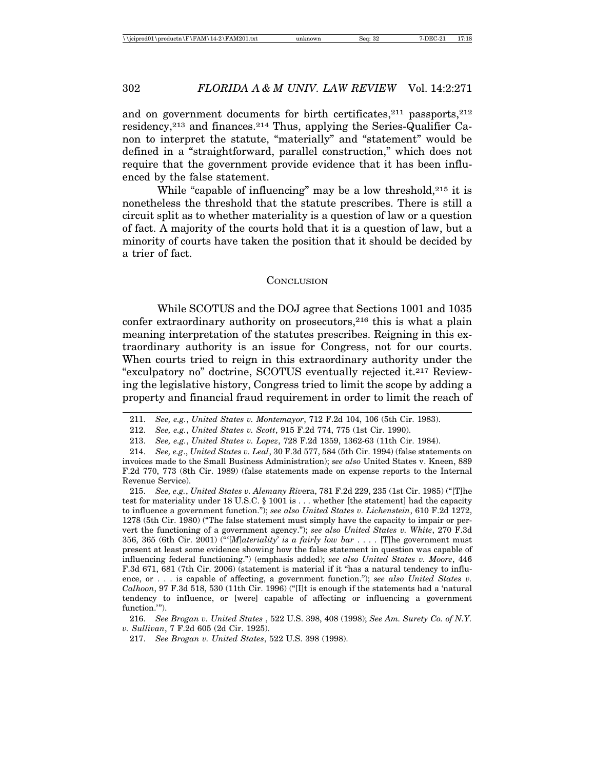and on government documents for birth certificates, $2^{11}$  passports, $2^{12}$ residency,213 and finances.214 Thus, applying the Series-Qualifier Canon to interpret the statute, "materially" and "statement" would be defined in a "straightforward, parallel construction," which does not require that the government provide evidence that it has been influenced by the false statement.

While "capable of influencing" may be a low threshold,  $2^{15}$  it is nonetheless the threshold that the statute prescribes. There is still a circuit split as to whether materiality is a question of law or a question of fact. A majority of the courts hold that it is a question of law, but a minority of courts have taken the position that it should be decided by a trier of fact.

#### **CONCLUSION**

While SCOTUS and the DOJ agree that Sections 1001 and 1035 confer extraordinary authority on prosecutors,<sup>216</sup> this is what a plain meaning interpretation of the statutes prescribes. Reigning in this extraordinary authority is an issue for Congress, not for our courts. When courts tried to reign in this extraordinary authority under the "exculpatory no" doctrine, SCOTUS eventually rejected it.217 Reviewing the legislative history, Congress tried to limit the scope by adding a property and financial fraud requirement in order to limit the reach of

215. *See, e.g.*, *United States v. Alemany Riv*era, 781 F.2d 229, 235 (1st Cir. 1985) ("[T]he test for materiality under 18 U.S.C. § 1001 is . . . whether [the statement] had the capacity to influence a government function."); *see also United States v. Lichenstein*, 610 F.2d 1272, 1278 (5th Cir. 1980) ("The false statement must simply have the capacity to impair or pervert the functioning of a government agency."); *see also United States v. White*, 270 F.3d 356, 365 (6th Cir. 2001) ("'[*M*]*ateriality*' *is a fairly low bar* . . . . [T]he government must present at least some evidence showing how the false statement in question was capable of influencing federal functioning.") (emphasis added); *see also United States v. Moore*, 446 F.3d 671, 681 (7th Cir. 2006) (statement is material if it "has a natural tendency to influence, or . . . is capable of affecting, a government function."); *see also United States v. Calhoon*, 97 F.3d 518, 530 (11th Cir. 1996) ("[I]t is enough if the statements had a 'natural tendency to influence, or [were] capable of affecting or influencing a government function.'").

216. *See Brogan v. United States* , 522 U.S. 398, 408 (1998); *See Am. Surety Co. of N.Y. v. Sullivan*, 7 F.2d 605 (2d Cir. 1925).

<sup>211.</sup> *See, e.g.*, *United States v. Montemayor*, 712 F.2d 104, 106 (5th Cir. 1983).

<sup>212.</sup> *See, e.g.*, *United States v. Scott*, 915 F.2d 774, 775 (1st Cir. 1990).

<sup>213.</sup> *See, e.g.*, *United States v. Lopez*, 728 F.2d 1359, 1362-63 (11th Cir. 1984).

<sup>214.</sup> *See, e.g*., *United States v. Leal*, 30 F.3d 577, 584 (5th Cir. 1994) (false statements on invoices made to the Small Business Administration); *see also* United States v. Kneen, 889 F.2d 770, 773 (8th Cir. 1989) (false statements made on expense reports to the Internal Revenue Service).

<sup>217.</sup> *See Brogan v. United States*, 522 U.S. 398 (1998).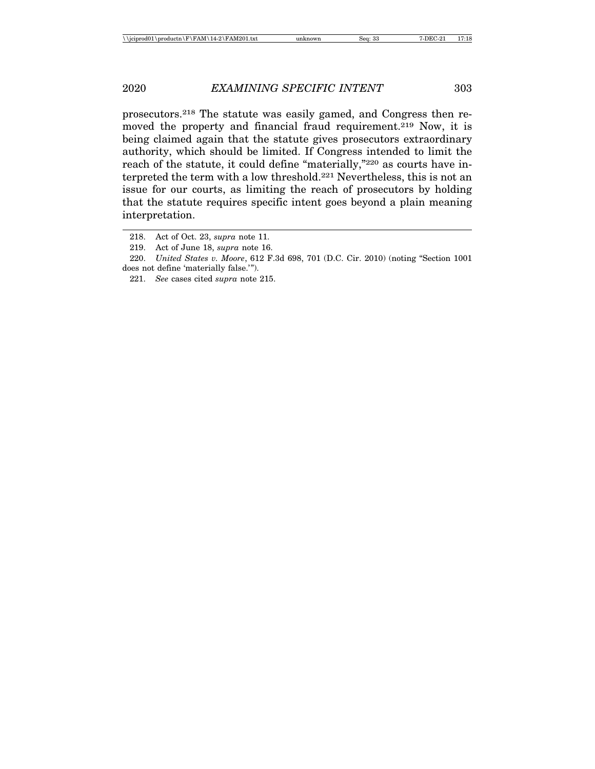prosecutors.218 The statute was easily gamed, and Congress then removed the property and financial fraud requirement.219 Now, it is being claimed again that the statute gives prosecutors extraordinary authority, which should be limited. If Congress intended to limit the reach of the statute, it could define "materially,"220 as courts have interpreted the term with a low threshold.221 Nevertheless, this is not an issue for our courts, as limiting the reach of prosecutors by holding that the statute requires specific intent goes beyond a plain meaning interpretation.

<sup>218.</sup> Act of Oct. 23, *supra* note 11.

<sup>219.</sup> Act of June 18, *supra* note 16.

<sup>220.</sup> *United States v. Moore*, 612 F.3d 698, 701 (D.C. Cir. 2010) (noting "Section 1001 does not define 'materially false.'").

<sup>221.</sup> *See* cases cited *supra* note 215.